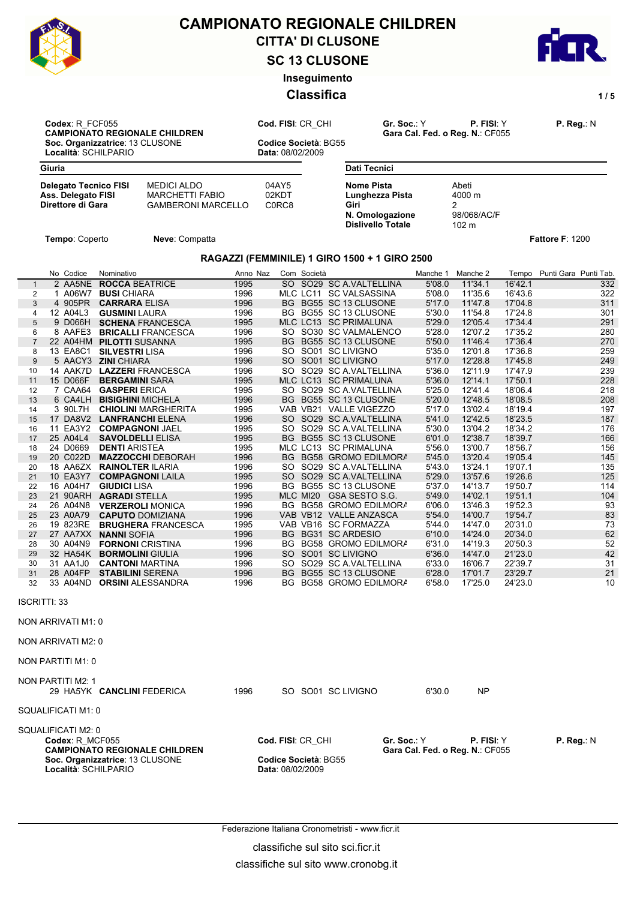

# CITTA' DI CLUSONE **CAMPIONATO REGIONALE CHILDREN**

**SC 13 CLUSONE**

**Inseguimento**

## **Classifica** 1/5



**Codex**: R\_FCF055 **Cod. FISI**: CR\_CHI **Gr. Soc.**: Y **P. FISI**: Y **P. Reg.**: N **CAMPIONATO REGIONALE CHILDREN Gara Cal. Fed. o Reg. N.**: CF055 **Soc. Organizzatrice**: 13 CLUSONE **Codice Società**: BG55

**Località**: SCHILPARIO **Data**: 08/02/2009

| Giuria                                                                                                                                               |                  |                                          | <b>Dati Tecnici</b>                                                                         |                    |                                              |                    |                             |            |
|------------------------------------------------------------------------------------------------------------------------------------------------------|------------------|------------------------------------------|---------------------------------------------------------------------------------------------|--------------------|----------------------------------------------|--------------------|-----------------------------|------------|
| <b>Delegato Tecnico FISI</b><br><b>MEDICI ALDO</b><br>Ass. Delegato FISI<br><b>MARCHETTI FABIO</b><br>Direttore di Gara<br><b>GAMBERONI MARCELLO</b> |                  | 04AY5<br>02KDT<br>C0RC8                  | <b>Nome Pista</b><br>Lunghezza Pista<br>Giri<br>N. Omologazione<br><b>Dislivello Totale</b> |                    | Abeti<br>4000 m<br>2<br>98/068/AC/F<br>102 m |                    |                             |            |
| Tempo: Coperto<br>Neve: Compatta                                                                                                                     |                  |                                          |                                                                                             |                    |                                              |                    | Fattore F: 1200             |            |
|                                                                                                                                                      |                  |                                          | RAGAZZI (FEMMINILE) 1 GIRO 1500 + 1 GIRO 2500                                               |                    |                                              |                    |                             |            |
|                                                                                                                                                      |                  |                                          |                                                                                             |                    |                                              |                    |                             |            |
| No Codice<br>Nominativo<br>2 AA5NE<br><b>ROCCA BEATRICE</b><br>$\mathbf{1}$                                                                          | Anno Naz<br>1995 | Com Società                              | SO SO29 SC A.VALTELLINA                                                                     | Manche 1<br>5'08.0 | Manche 2<br>11'34.1                          | 16'42.1            | Tempo Punti Gara Punti Tab. | 332        |
| 1 A06W7 BUSI CHIARA<br>2                                                                                                                             | 1996             |                                          | MLC LC11 SC VALSASSINA                                                                      | 5'08.0             | 11'35.6                                      | 16'43.6            |                             | 322        |
| 3<br>4 905PR<br><b>CARRARA ELISA</b>                                                                                                                 | 1996             |                                          | BG BG55 SC 13 CLUSONE                                                                       | 5'17.0             | 11'47.8                                      | 17'04.8            |                             | 311        |
| 12 A04L3<br><b>GUSMINI</b> LAURA<br>4                                                                                                                | 1996             |                                          | BG BG55 SC 13 CLUSONE                                                                       | 5'30.0             | 11'54.8                                      | 17'24.8            |                             | 301        |
| 5<br>9 D066H<br><b>SCHENA FRANCESCA</b>                                                                                                              | 1995             |                                          | MLC LC13 SC PRIMALUNA                                                                       | 5'29.0             | 12'05.4                                      | 17'34.4            |                             | 291        |
| 8 AAFE3<br>6<br><b>BRICALLI FRANCESCA</b>                                                                                                            | 1996             |                                          | SO SO30 SC VALMALENCO                                                                       | 5'28.0             | 12'07.2                                      | 17'35.2            |                             | 280        |
| 22 A04HM PILOTTI SUSANNA                                                                                                                             | 1995             |                                          | BG BG55 SC 13 CLUSONE                                                                       | 5'50.0             | 11'46.4                                      | 17'36.4            |                             | 270        |
| 13 EA8C1<br><b>SILVESTRI LISA</b><br>8                                                                                                               | 1996             |                                          | SO SO01 SC LIVIGNO                                                                          | 5'35.0             | 12'01.8                                      | 17'36.8            |                             | 259        |
| 5 AACY3 ZINI CHIARA<br>9                                                                                                                             | 1996             |                                          | SO SO01 SC LIVIGNO                                                                          | 5'17.0             | 12'28.8                                      | 17'45.8            |                             | 249        |
| 14 AAK7D<br><b>LAZZERI</b> FRANCESCA<br>10<br>15 D066F<br><b>BERGAMINI SARA</b><br>11                                                                | 1996<br>1995     |                                          | SO SO29 SC A VALTELLINA<br>MLC LC13 SC PRIMALUNA                                            | 5'36.0<br>5'36.0   | 12'11.9<br>12'14.1                           | 17'47.9<br>17'50.1 |                             | 239<br>228 |
| 7 CAA64<br><b>GASPERI ERICA</b><br>12                                                                                                                | 1995             |                                          | SO SO29 SC A VALTELLINA                                                                     | 5'25.0             | 12'41.4                                      | 18'06.4            |                             | 218        |
| 13<br>6 CA4LH<br><b>BISIGHINI MICHELA</b>                                                                                                            | 1996             |                                          | BG BG55 SC 13 CLUSONE                                                                       | 5'20.0             | 12'48.5                                      | 18'08.5            |                             | 208        |
| 3 90L7H<br>14<br><b>CHIOLINI MARGHERITA</b>                                                                                                          | 1995             |                                          | VAB VB21 VALLE VIGEZZO                                                                      | 5'17.0             | 13'02.4                                      | 18'19.4            |                             | 197        |
| 17 DA8V2<br>15<br><b>LANFRANCHI ELENA</b>                                                                                                            | 1996             |                                          | SO SO29 SC A.VALTELLINA                                                                     | 5'41.0             | 12'42.5                                      | 18'23.5            |                             | 187        |
| 11 EA3Y2<br>16<br><b>COMPAGNONI JAEL</b>                                                                                                             | 1995             |                                          | SO SO29 SC A.VALTELLINA                                                                     | 5'30.0             | 13'04.2                                      | 18'34.2            |                             | 176        |
| 25 A04L4<br>17<br><b>SAVOLDELLI ELISA</b>                                                                                                            | 1995             |                                          | BG BG55 SC 13 CLUSONE                                                                       | 6'01.0             | 12'38.7                                      | 18'39.7            |                             | 166        |
| 24 D0669<br><b>DENTI ARISTEA</b><br>18                                                                                                               | 1995             |                                          | MLC LC13 SC PRIMALUNA                                                                       | 5'56.0             | 13'00.7                                      | 18'56.7            |                             | 156        |
| 20 C022D<br><b>MAZZOCCHI DEBORAH</b><br>19                                                                                                           | 1996             |                                          | BG BG58 GROMO EDILMORA                                                                      | 5'45.0             | 13'20.4                                      | 19'05.4            |                             | 145        |
| 18 AA6ZX<br><b>RAINOLTER ILARIA</b><br>20                                                                                                            | 1996             |                                          | SO SO29 SC A.VALTELLINA                                                                     | 5'43.0             | 13'24.1                                      | 19'07.1            |                             | 135        |
| 10 EA3Y7<br><b>COMPAGNONI LAILA</b><br>21                                                                                                            | 1995             |                                          | SO SO29 SC A.VALTELLINA                                                                     | 5'29.0             | 13'57.6                                      | 19'26.6            |                             | 125        |
| 16 A04H7<br><b>GIUDICI</b> LISA<br>22<br>21 90ARH                                                                                                    | 1996<br>1995     |                                          | BG BG55 SC 13 CLUSONE                                                                       | 5'37.0<br>5'49.0   | 14'13.7<br>14'02.1                           | 19'50.7<br>19'51.1 |                             | 114<br>104 |
| <b>AGRADI STELLA</b><br>23<br>26 A04N8<br><b>VERZEROLI MONICA</b><br>24                                                                              | 1996             |                                          | MLC MI20 GSA SESTO S.G.<br>BG BG58 GROMO EDILMORA                                           | 6'06.0             | 13'46.3                                      | 19'52.3            |                             | 93         |
| 23 A0A79<br>25<br><b>CAPUTO DOMIZIANA</b>                                                                                                            | 1996             |                                          | VAB VB12 VALLE ANZASCA                                                                      | 5'54.0             | 14'00.7                                      | 19'54.7            |                             | 83         |
| 19 823RE<br><b>BRUGHERA FRANCESCA</b><br>26                                                                                                          | 1995             |                                          | VAB VB16 SC FORMAZZA                                                                        | 5'44.0             | 14'47.0                                      | 20'31.0            |                             | 73         |
| 27 AA7XX<br><b>NANNI SOFIA</b><br>27                                                                                                                 | 1996             |                                          | BG BG31 SC ARDESIO                                                                          | 6'10.0             | 14'24.0                                      | 20'34.0            |                             | 62         |
| 30 A04N9<br><b>FORNONI</b> CRISTINA<br>28                                                                                                            | 1996             |                                          | BG BG58 GROMO EDILMORA                                                                      | 6'31.0             | 14'19.3                                      | 20'50.3            |                             | 52         |
| 32 HA54K<br><b>BORMOLINI GIULIA</b><br>29                                                                                                            | 1996             |                                          | SO SO01 SC LIVIGNO                                                                          | 6'36.0             | 14'47.0                                      | 21'23.0            |                             | 42         |
| 31 AA1J0<br><b>CANTONI MARTINA</b><br>30                                                                                                             | 1996             | SO.                                      | SO29 SC A.VALTELLINA                                                                        | 6'33.0             | 16'06.7                                      | 22'39.7            |                             | 31         |
| 28 A04FP<br><b>STABILINI SERENA</b><br>31                                                                                                            | 1996             |                                          | BG BG55 SC 13 CLUSONE                                                                       | 6'28.0             | 17'01.7                                      | 23'29.7            |                             | 21         |
| 33 A04ND<br><b>ORSINI ALESSANDRA</b><br>32                                                                                                           | 1996             |                                          | BG BG58 GROMO EDILMORA                                                                      | 6'58.0             | 17'25.0                                      | 24'23.0            |                             | 10         |
| <b>ISCRITTI: 33</b>                                                                                                                                  |                  |                                          |                                                                                             |                    |                                              |                    |                             |            |
| NON ARRIVATI M1: 0                                                                                                                                   |                  |                                          |                                                                                             |                    |                                              |                    |                             |            |
| NON ARRIVATI M2: 0                                                                                                                                   |                  |                                          |                                                                                             |                    |                                              |                    |                             |            |
| NON PARTITI M1: 0                                                                                                                                    |                  |                                          |                                                                                             |                    |                                              |                    |                             |            |
| NON PARTITI M2: 1                                                                                                                                    | 1996             |                                          | SO SO01 SC LIVIGNO                                                                          | 6'30.0             | <b>NP</b>                                    |                    |                             |            |
| 29 HA5YK CANCLINI FEDERICA<br>SQUALIFICATI M1: 0                                                                                                     |                  |                                          |                                                                                             |                    |                                              |                    |                             |            |
|                                                                                                                                                      |                  |                                          |                                                                                             |                    |                                              |                    |                             |            |
| SQUALIFICATI M2: 0                                                                                                                                   |                  |                                          |                                                                                             |                    |                                              |                    |                             |            |
| Codex: R MCF055<br><b>CAMPIONATO REGIONALE CHILDREN</b>                                                                                              |                  | Cod. FISI: CR_CHI                        | Gr. Soc.: Y                                                                                 |                    | <b>P. FISI:</b> Y                            |                    | P. Reg.: N                  |            |
| Soc. Organizzatrice: 13 CLUSONE<br>Località: SCHILPARIO                                                                                              |                  | Codice Società: BG55<br>Data: 08/02/2009 |                                                                                             |                    | Gara Cal. Fed. o Reg. N.: CF055              |                    |                             |            |

Federazione Italiana Cronometristi - www.ficr.it

classifiche sul sito sci.ficr.it

classifiche sul sito www.cronobg.it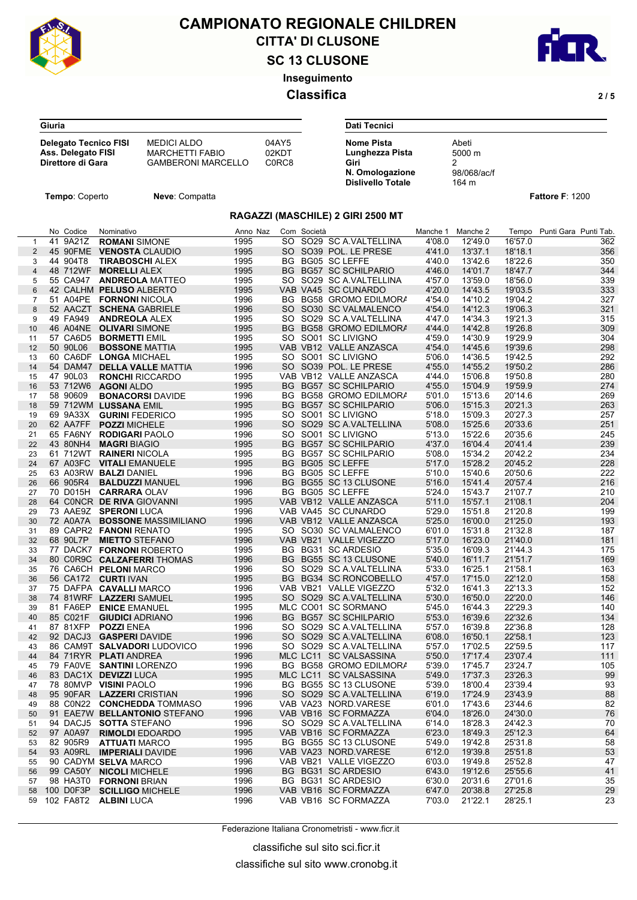

**Giuria**

## **SC 13 CLUSONE** CITTA' DI CLUSONE **CAMPIONATO REGIONALE CHILDREN**



**Inseguimento**

### **Classifica 2 / 5**

| <b>Delegato Tecnico FISI</b> | MEDICI ALDO               | 04AY5                          | <b>Nome Pista</b> |
|------------------------------|---------------------------|--------------------------------|-------------------|
| Ass. Delegato FISI           | <b>MARCHETTI FABIO</b>    | 02KDT                          | Lunghezza         |
| Direttore di Gara            | <b>GAMBERONI MARCELLO</b> | C <sub>0</sub> RC <sub>8</sub> | Giri              |

| Dati Tecnici             |             |  |
|--------------------------|-------------|--|
| <b>Nome Pista</b>        | Abeti       |  |
| Lunghezza Pista          | 5000 m      |  |
| Giri                     |             |  |
| N. Omologazione          | 98/068/ac/f |  |
| <b>Dislivello Totale</b> | 164 m       |  |

**Tempo**: Coperto **Neve**: Compatta **Fattore F**: 1200

#### **RAGAZZI (MASCHILE) 2 GIRI 2500 MT**

| $\mathbf{1}$<br>$\overline{2}$<br>3<br>4<br>5<br>6<br>$\overline{7}$<br>8<br>9<br>10<br>11<br>12 | 41 9A21Z<br>44 904T8 | <b>ROMANI SIMONE</b><br>45 90FME VENOSTA CLAUDIO<br>$\sim$ 1995<br><b>TIRABOSCHI ALEX</b><br>$\sim$ 1995<br>48 712WF MORELLI ALEX<br>55 CA947 <b>ANDREOLA</b> MATTEO 1995<br>$\sim$ 1995<br>42 CALHM PELUSO ALBERTO | 1995<br>1995 | BG BG05 SC LEFFE | SO SO29 SC A VALTELLINA<br>SO SO39 POL. LE PRESE | 4'08.0<br>4'41.0 | 12'49.0<br>13'37.1 | 16'57.0<br>18'18.1 | 362<br>356 |
|--------------------------------------------------------------------------------------------------|----------------------|---------------------------------------------------------------------------------------------------------------------------------------------------------------------------------------------------------------------|--------------|------------------|--------------------------------------------------|------------------|--------------------|--------------------|------------|
|                                                                                                  |                      |                                                                                                                                                                                                                     |              |                  |                                                  |                  |                    |                    |            |
|                                                                                                  |                      |                                                                                                                                                                                                                     |              |                  |                                                  |                  |                    |                    |            |
|                                                                                                  |                      |                                                                                                                                                                                                                     |              |                  |                                                  | 4'40.0           | 13'42.6            | 18'22.6            | 350        |
|                                                                                                  |                      |                                                                                                                                                                                                                     |              |                  | BG BG57 SC SCHILPARIO                            | 4'46.0           | 14'01.7            | 18'47.7            | 344        |
|                                                                                                  |                      |                                                                                                                                                                                                                     |              |                  | SO SO29 SC A VALTELLINA                          | 4'57.0           | 13'59.0            | 18'56.0            | 339        |
|                                                                                                  |                      |                                                                                                                                                                                                                     |              |                  | VAB VA45 SC CUNARDO                              | 4'20.0           | 14'43.5            | 19'03.5            | 333        |
|                                                                                                  |                      | 51 A04PE FORNONI NICOLA<br>$\sim$ 1996                                                                                                                                                                              |              |                  | BG BG58 GROMO EDILMORA                           | 4'54.0           | 14'10.2            | 19'04.2            | 327        |
|                                                                                                  |                      | $\sim$ 1996<br>52 AACZT SCHENA GABRIELE                                                                                                                                                                             |              |                  | SO SO30 SC VALMALENCO                            | 4'54.0           | 14'12.3            | 19'06.3            | 321        |
|                                                                                                  | 49 FA949             | $\sim$ 1995<br><b>ANDREOLA ALEX</b>                                                                                                                                                                                 |              |                  | SO SO29 SC A VALTELLINA                          | 4'47.0           | 14'34.3            | 19'21.3            | 315        |
|                                                                                                  |                      |                                                                                                                                                                                                                     |              |                  |                                                  |                  |                    |                    |            |
|                                                                                                  |                      | $\sim$ 1995<br>46 A04NE OLIVARI SIMONE                                                                                                                                                                              |              |                  | BG BG58 GROMO EDILMORA                           | 4'44.0           | 14'42.8<br>14'30.9 | 19'26.8            | 309        |
|                                                                                                  |                      | 57 CA6D5 BORMETTI EMIL<br>$\sim$ 1995                                                                                                                                                                               |              |                  | SO SO01 SC LIVIGNO                               | 4'59.0           |                    | 19'29.9            | 304        |
|                                                                                                  | 50 90L06             | $\sim$ 1995<br><b>BOSSONE MATTIA</b>                                                                                                                                                                                |              |                  | VAB VB12 VALLE ANZASCA                           | 4'54.0           | 14'45.6            | 19'39.6            | 298        |
| 13                                                                                               |                      | 60 CA6DF LONGA MICHAEL<br>$\sim$ 1995                                                                                                                                                                               |              |                  | SO SO01 SC LIVIGNO                               | 5'06.0           | 14'36.5            | 19'42.5            | 292        |
| 14                                                                                               |                      | 54 DAM47 DELLA VALLE MATTIA 1996                                                                                                                                                                                    |              |                  | SO SO39 POL. LE PRESE                            | 4'55.0           | 14'55.2            | 19'50.2            | 286        |
| 15                                                                                               | 47 90L03             | $\sim$ 1995<br><b>RONCHI RICCARDO</b>                                                                                                                                                                               |              |                  | VAB VB12 VALLE ANZASCA                           | 4'44.0           | 15'06.8            | 19'50.8            | 280        |
| 16                                                                                               |                      | 53 712W6 AGONI ALDO                                                                                                                                                                                                 | 1995         |                  | BG BG57 SC SCHILPARIO                            | 4'55.0           | 15'04.9            | 19'59.9            | 274        |
| 17                                                                                               | 58 90609             | <b>BONACORSI</b> DAVIDE 1996                                                                                                                                                                                        |              |                  | BG BG58 GROMO EDILMORA                           | 5'01.0           | 15'13.6            | 20'14.6            | 269        |
| 18                                                                                               |                      | $\sim$ 1995<br>59 712WM LUSSANA EMIL                                                                                                                                                                                |              |                  | BG BG57 SC SCHILPARIO                            | 5'06.0           | 15'15.3            | 20'21.3            | 263        |
| 19                                                                                               |                      | 69 9A33X GURINI FEDERICO<br>$\sim$ 1995                                                                                                                                                                             |              |                  | SO SO01 SC LIVIGNO                               | 5'18.0           | 15'09.3            | 20'27.3            | 257        |
| 20                                                                                               |                      | 62 AA7FF POZZI MICHELE                                                                                                                                                                                              | 1996         |                  | SO SO29 SC A VALTELLINA                          | 5'08.0           | 15'25.6            | 20'33.6            | 251        |
| 21                                                                                               |                      | 65 FA6NY RODIGARI PAOLO                                                                                                                                                                                             | 1996         |                  | SO SO01 SC LIVIGNO                               | 5'13.0           | 15'22.6            | 20'35.6            | 245        |
| 22                                                                                               |                      | $\sim$ 1995<br>43 80NH4 MAGRI BIAGIO                                                                                                                                                                                |              |                  | BG BG57 SC SCHILPARIO                            | 4'37.0           | 16'04.4            | 20'41.4            | 239        |
| 23                                                                                               |                      | 61 712WT RAINERI NICOLA<br>$\sim$ 1995                                                                                                                                                                              |              |                  | BG BG57 SC SCHILPARIO                            | 5'08.0           | 15'34.2            | 20'42.2            | 234        |
| 24                                                                                               |                      | $\sim$ 1995<br>67 A03FC VITALI EMANUELE                                                                                                                                                                             |              |                  | BG BG05 SC LEFFE                                 | 5'17.0           | 15'28.2            | 20'45.2            | 228        |
| 25                                                                                               |                      | 63 A03RW <b>BALZI</b> DANIEL<br>$\sim$ 1996                                                                                                                                                                         |              |                  | BG BG05 SC LEFFE                                 | 5'10.0           | 15'40.6            | 20'50.6            | 222        |
| 26                                                                                               | 66 905R4             | $\sim$ 1996<br><b>BALDUZZI MANUEL</b>                                                                                                                                                                               |              |                  | BG BG55 SC 13 CLUSONE                            | 5'16.0           | 15'41.4            | 20'57.4            | 216        |
| 27                                                                                               |                      | 70 D015H CARRARA OLAV<br>$\sim$ 1996                                                                                                                                                                                |              |                  | BG BG05 SC LEFFE                                 | 5'24.0           | 15'43.7            | 21'07.7            | 210        |
| 28                                                                                               |                      | $\sim$ 1995<br>64 CONCR DE RIVA GIOVANNI                                                                                                                                                                            |              |                  | VAB VB12 VALLE ANZASCA                           | 5'11.0           | 15'57.1            | 21'08.1            | 204        |
| 29                                                                                               |                      | 73 AAE9Z SPERONILUCA                                                                                                                                                                                                | 1996         |                  | VAB VA45 SC CUNARDO                              | 5'29.0           | 15'51.8            | 21'20.8            | 199        |
|                                                                                                  |                      |                                                                                                                                                                                                                     |              |                  |                                                  | 5'25.0           |                    |                    |            |
| 30                                                                                               |                      | 72 A0A7A BOSSONE MASSIMILIANO                                                                                                                                                                                       | 1996         |                  | VAB VB12 VALLE ANZASCA                           |                  | 16'00.0            | 21'25.0            | 193        |
| 31                                                                                               |                      | 89 CAPR2 FANONI RENATO<br>$\sim$ 1995                                                                                                                                                                               |              |                  | SO SO30 SC VALMALENCO                            | 6'01.0           | 15'31.8            | 21'32.8            | 187        |
| 32                                                                                               | 68 90L7P             | 1996<br><b>MIETTO STEFANO</b>                                                                                                                                                                                       |              |                  | VAB VB21 VALLE VIGEZZO                           | 5'17.0           | 16'23.0            | 21'40.0            | 181        |
| 33                                                                                               |                      | 77 DACK7 FORNONI ROBERTO 1995                                                                                                                                                                                       |              |                  | BG BG31 SC ARDESIO                               | 5'35.0           | 16'09.3            | 21'44.3            | 175        |
| 34                                                                                               |                      | 80 C0R9C CALZAFERRITHOMAS                                                                                                                                                                                           | $\sim$ 1996  |                  | BG BG55 SC 13 CLUSONE                            | 5'40.0           | 16'11.7            | 21'51.7            | 169        |
| 35                                                                                               |                      | 76 CA6CH PELONI MARCO<br>$\sim$ 1996                                                                                                                                                                                |              |                  | SO SO29 SC A VALTELLINA                          | 5'33.0           | 16'25.1            | 21'58.1            | 163        |
| 36                                                                                               |                      | 56 CA172 CURTI IVAN                                                                                                                                                                                                 |              |                  | BG BG34 SC RONCOBELLO                            | 4'57.0           | 17'15.0            | 22'12.0            | 158        |
| 37                                                                                               |                      | 75 DAFPA CAVALLI MARCO<br>$\sim$ 1996 $\sim$                                                                                                                                                                        |              |                  | VAB VB21 VALLE VIGEZZO                           | 5'32.0           | 16'41.3            | 22'13.3            | 152        |
| 38                                                                                               |                      | $\sim$ 1995<br>74 81WRF LAZZERI SAMUEL                                                                                                                                                                              |              |                  | SO SO29 SC A VALTELLINA                          | 5'30.0           | 16'50.0            | 22'20.0            | 146        |
| 39                                                                                               | 81 FA6EP             | $\sim$ 1995<br><b>ENICE EMANUEL</b>                                                                                                                                                                                 |              |                  | MLC CO01 SC SORMANO                              | 5'45.0           | 16'44.3            | 22'29.3            | 140        |
| 40                                                                                               |                      | 85 C021F GIUDICI ADRIANO                                                                                                                                                                                            | 1996         |                  | BG BG57 SC SCHILPARIO                            | 5'53.0           | 16'39.6            | 22'32.6            | 134        |
| 41                                                                                               | 87 81XFP             | <b>POZZI ENEA</b>                                                                                                                                                                                                   | 1996         |                  | SO SO29 SC A VALTELLINA                          | 5'57.0           | 16'39.8            | 22'36.8            | 128        |
| 42                                                                                               |                      | 92 DACJ3 <b>GASPERI</b> DAVIDE                                                                                                                                                                                      | 1996         |                  | SO SO29 SC A VALTELLINA                          | 6'08.0           | 16'50.1            | 22'58.1            | 123        |
| 43                                                                                               |                      | 86 CAM9T SALVADORI LUDOVICO 1996                                                                                                                                                                                    |              |                  | SO SO29 SC A VALTELLINA                          | 5'57.0           | 17'02.5            | 22'59.5            | 117        |
| 44                                                                                               |                      | 84 71RYR PLATI ANDREA                                                                                                                                                                                               | 1996         |                  | MLC LC11 SC VALSASSINA                           | 5'50.0           | 17'17.4            | 23'07.4            | 111        |
| 45                                                                                               |                      | 79 FAOVE SANTINI LORENZO<br>$\sim$ 1996                                                                                                                                                                             |              |                  | BG BG58 GROMO EDILMORA                           | 5'39.0           | 17'45.7            | 23'24.7            | 105        |
| 46                                                                                               |                      | $\frac{1}{1995}$<br>83 DAC1X DEVIZZI LUCA                                                                                                                                                                           |              |                  | MLC LC11 SC VALSASSINA                           | 5'49.0           | 17'37.3            | 23'26.3            | 99         |
| 47                                                                                               |                      | 1996<br>78 80MVP VISINI PAOLO                                                                                                                                                                                       |              |                  | BG BG55 SC 13 CLUSONE                            | 5'39.0           | 18'00.4            | 23'39.4            | 93         |
| 48                                                                                               |                      | 95 90FAR LAZZERI CRISTIAN                                                                                                                                                                                           | 1996         |                  | SO SO29 SC A VALTELLINA                          | 6'19.0           | 17'24.9            | 23'43.9            | 88         |
| 49                                                                                               |                      | 88 C0N22 CONCHEDDA TOMMASO 1996                                                                                                                                                                                     |              |                  | VAB VA23 NORD.VARESE                             | 6'01.0           |                    | 23'44.6            | 82         |
|                                                                                                  |                      |                                                                                                                                                                                                                     |              |                  | VAB VB16 SC FORMAZZA                             |                  | 17'43.6            |                    | 76         |
| 50                                                                                               |                      | 91 EAE7W BELLANTONIO STEFANO                                                                                                                                                                                        | 1996         |                  |                                                  | 6'04.0           | 18'26.0            | 24'30.0            |            |
| 51                                                                                               |                      | 94 DACJ5 SOTTA STEFANO                                                                                                                                                                                              | 1996         |                  | SO SO29 SC A VALTELLINA                          | 6'14.0           | 18'28.3            | 24'42.3            | 70         |
| 52                                                                                               |                      | 97 A0A97 RIMOLDI EDOARDO                                                                                                                                                                                            | 1995         |                  | VAB VB16 SC FORMAZZA                             | 6'23.0           | 18'49.3            | 25'12.3            | 64         |
| 53                                                                                               |                      | 82 905R9 ATTUATI MARCO                                                                                                                                                                                              | 1995         |                  | BG BG55 SC 13 CLUSONE                            | 5'49.0           | 19'42.8            | 25'31.8            | 58         |
| 54                                                                                               |                      | 93 A09RL IMPERIALI DAVIDE                                                                                                                                                                                           | 1996         |                  | VAB VA23 NORD.VARESE                             | 6'12.0           | 19'39.8            | 25'51.8            | 53         |
| 55                                                                                               |                      | 90 CADYM SELVA MARCO                                                                                                                                                                                                | 1996         |                  | VAB VB21 VALLE VIGEZZO                           | 6'03.0           | 19'49.8            | 25'52.8            | 47         |
| 56                                                                                               |                      | 99 CA50Y NICOLI MICHELE                                                                                                                                                                                             | 1996         |                  | BG BG31 SC ARDESIO                               | 6'43.0           | 19'12.6            | 25'55.6            | 41         |
| 57                                                                                               |                      | 98 HA3T0 <b>FORNONI</b> BRIAN                                                                                                                                                                                       | 1996         |                  | BG BG31 SC ARDESIO                               | 6'30.0           | 20'31.6            | 27'01.6            | 35         |
| 58                                                                                               |                      | 100 D0F3P SCILLIGO MICHELE                                                                                                                                                                                          | 1996         |                  | VAB VB16 SC FORMAZZA                             | 6'47.0           | 20'38.8            | 27'25.8            | 29         |
| 59                                                                                               |                      | 102 FA8T2 <b>ALBINI</b> LUCA                                                                                                                                                                                        | 1996         |                  | VAB VB16 SC FORMAZZA                             | 7'03.0           | 21'22.1            | 28'25.1            | 23         |

Federazione Italiana Cronometristi - www.ficr.it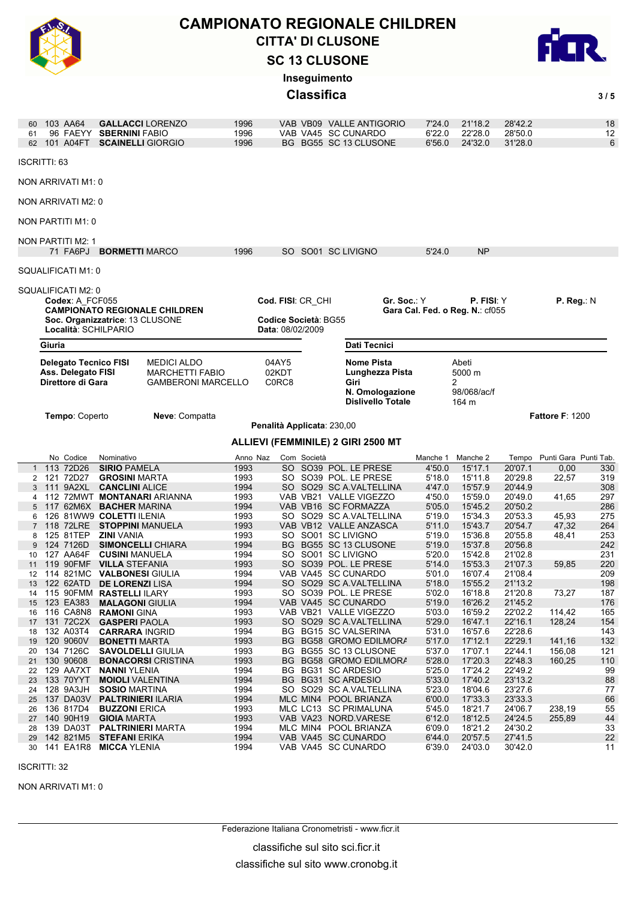

## **SC 13 CLUSONE** CITTA' DI CLUSONE **CAMPIONATO REGIONALE CHILDREN**



**Inseguimento**

**Classifica** 3/5

| 61       | 103 AA64<br>62 101 A04FT                | 96 FAEYY        | <b>SBERNINI FABIO</b><br><b>SCAINELLI GIORGIO</b>       | <b>GALLACCI LORENZO</b>                                                   | 1996<br>1996<br>1996 |                                                  |             | VAB VB09 VALLE ANTIGORIO<br>VAB VA45 SC CUNARDO<br>BG BG55 SC 13 CLUSONE             | 7'24.0<br>6'22.0<br>6'56.0 | 21'18.2<br>22'28.0<br>24'32.0                | 28'42.2<br>28'50.0<br>31'28.0 |                             | 18<br>12<br>6 |
|----------|-----------------------------------------|-----------------|---------------------------------------------------------|---------------------------------------------------------------------------|----------------------|--------------------------------------------------|-------------|--------------------------------------------------------------------------------------|----------------------------|----------------------------------------------|-------------------------------|-----------------------------|---------------|
|          | <b>ISCRITTI: 63</b>                     |                 |                                                         |                                                                           |                      |                                                  |             |                                                                                      |                            |                                              |                               |                             |               |
|          | NON ARRIVATI M1: 0                      |                 |                                                         |                                                                           |                      |                                                  |             |                                                                                      |                            |                                              |                               |                             |               |
|          | NON ARRIVATI M2: 0                      |                 |                                                         |                                                                           |                      |                                                  |             |                                                                                      |                            |                                              |                               |                             |               |
|          | NON PARTITI M1: 0                       |                 |                                                         |                                                                           |                      |                                                  |             |                                                                                      |                            |                                              |                               |                             |               |
|          | <b>NON PARTITI M2: 1</b>                |                 |                                                         |                                                                           |                      |                                                  |             |                                                                                      |                            |                                              |                               |                             |               |
|          |                                         |                 | 71 FA6PJ BORMETTI MARCO                                 |                                                                           | 1996                 |                                                  |             | SO SO01 SC LIVIGNO                                                                   | 5'24.0                     | NP                                           |                               |                             |               |
|          | SQUALIFICATI M1: 0                      |                 |                                                         |                                                                           |                      |                                                  |             |                                                                                      |                            |                                              |                               |                             |               |
|          | SQUALIFICATI M2: 0                      | Codex: A FCF055 |                                                         |                                                                           |                      | Cod. FISI: CR_CHI                                |             | Gr. Soc.: Y                                                                          |                            | P. FISI: Y                                   |                               | P. Reg.: N                  |               |
|          |                                         |                 | Soc. Organizzatrice: 13 CLUSONE<br>Località: SCHILPARIO | <b>CAMPIONATO REGIONALE CHILDREN</b>                                      |                      | Codice Società: BG55<br>Data: 08/02/2009         |             |                                                                                      |                            | Gara Cal. Fed. o Reg. N.: cf055              |                               |                             |               |
|          | Giuria                                  |                 |                                                         |                                                                           |                      |                                                  |             | Dati Tecnici                                                                         |                            |                                              |                               |                             |               |
|          | Ass. Delegato FISI<br>Direttore di Gara |                 | <b>Delegato Tecnico FISI</b>                            | <b>MEDICI ALDO</b><br><b>MARCHETTI FABIO</b><br><b>GAMBERONI MARCELLO</b> |                      | 04AY5<br>02KDT<br>C <sub>0</sub> RC <sub>8</sub> |             | Nome Pista<br>Lunghezza Pista<br>Giri<br>N. Omologazione<br><b>Dislivello Totale</b> |                            | Abeti<br>5000 m<br>2<br>98/068/ac/f<br>164 m |                               |                             |               |
|          |                                         | Tempo: Coperto  |                                                         | Neve: Compatta                                                            |                      | Penalità Applicata: 230,00                       |             |                                                                                      |                            |                                              |                               | <b>Fattore F: 1200</b>      |               |
|          |                                         |                 |                                                         |                                                                           |                      |                                                  |             |                                                                                      |                            |                                              |                               |                             |               |
|          |                                         |                 |                                                         |                                                                           |                      |                                                  |             |                                                                                      |                            |                                              |                               |                             |               |
|          |                                         | No Codice       | Nominativo                                              |                                                                           | Anno Naz             |                                                  | Com Società | ALLIEVI (FEMMINILE) 2 GIRI 2500 MT                                                   |                            | Manche 1 Manche 2                            |                               | Tempo Punti Gara Punti Tab. |               |
|          | 113 72D26                               |                 | <b>SIRIO PAMELA</b>                                     |                                                                           | 1993                 |                                                  |             | SO SO39 POL. LE PRESE                                                                | 4'50.0                     | 15'17.1                                      | 20'07.1                       | 0,00                        | 330           |
|          | 2 121 72D27                             |                 | <b>GROSINI MARTA</b>                                    |                                                                           | 1993                 |                                                  |             | SO SO39 POL. LE PRESE                                                                | 5'18.0                     | 15'11.8                                      | 20'29.8                       | 22,57                       | 319           |
|          | 111 9A2XL                               |                 | <b>CANCLINI ALICE</b>                                   |                                                                           | 1994                 |                                                  |             | SO SO29 SC A VALTELLINA                                                              | 4'47.0                     | 15'57.9                                      | 20'44.9                       |                             | 308           |
|          |                                         |                 |                                                         | 4 112 72MWT MONTANARI ARIANNA                                             | 1993                 |                                                  |             | VAB VB21 VALLE VIGEZZO                                                               | 4'50.0                     | 15'59.0                                      | 20'49.0                       | 41,65                       | 297           |
|          |                                         |                 | 117 62M6X BACHER MARINA                                 |                                                                           | 1994                 |                                                  |             | VAB VB16 SC FORMAZZA                                                                 | 5'05.0                     | 15'45.2                                      | 20'50.2                       |                             | 286           |
|          |                                         | 118 72LRE       | 126 81WW9 COLETTI ILENIA<br><b>STOPPINI MANUELA</b>     |                                                                           | 1993<br>1993         |                                                  |             | SO SO29 SC A VALTELLINA<br>VAB VB12 VALLE ANZASCA                                    | 5'19.0<br>5'11.0           | 15'34.3<br>15'43.7                           | 20'53.3<br>20'54.7            | 45,93<br>47,32              | 275<br>264    |
|          |                                         | 125 81TEP       | <b>ZINI</b> VANIA                                       |                                                                           | 1993                 |                                                  |             | SO SO01 SC LIVIGNO                                                                   | 5'19.0                     | 15'36.8                                      | 20'55.8                       | 48,41                       | 253           |
|          | 124 7126D                               |                 |                                                         | <b>SIMONCELLI CHIARA</b>                                                  | 1994                 |                                                  |             | BG BG55 SC 13 CLUSONE                                                                | 5'19.0                     | 15'37.8                                      | 20'56.8                       |                             | 242           |
| 10       |                                         | 127 AA64F       | <b>CUSINI MANUELA</b>                                   |                                                                           | 1994                 |                                                  |             | SO SO01 SC LIVIGNO                                                                   | 5'20.0                     | 15'42.8                                      | 21'02.8                       |                             | 231           |
| 11       |                                         | 119 90FMF       | <b>VILLA STEFANIA</b>                                   |                                                                           | 1993                 |                                                  |             | SO SO39 POL. LE PRESE                                                                | 5'14.0                     | 15'53.3                                      | 21'07.3                       | 59,85                       | 220           |
| 12       |                                         |                 | 114 821MC VALBONESI GIULIA                              |                                                                           | 1994                 |                                                  |             | VAB VA45 SC CUNARDO                                                                  | 5'01.0                     | 16'07.4                                      | 21'08.4                       |                             | 209           |
| 13       |                                         |                 | 122 62ATD DE LORENZI LISA                               |                                                                           | 1994                 |                                                  |             | SO SO29 SC A.VALTELLINA                                                              | 5'18.0                     | 15'55.2                                      | 21'13.2                       |                             | 198           |
| 15       | 123 EA383                               |                 | 14 115 90FMM RASTELLI ILARY<br><b>MALAGONI GIULIA</b>   |                                                                           | 1993<br>1994         |                                                  |             | SO SO39 POL. LE PRESE<br>VAB VA45 SC CUNARDO                                         | 5'02.0<br>5'19.0           | 16'18.8<br>16'26.2                           | 21'20.8<br>21'45.2            | 73,27                       | 187<br>176    |
| 16       | 116 CA8N8                               |                 | <b>RAMONI GINA</b>                                      |                                                                           | 1993                 |                                                  |             | VAB VB21 VALLE VIGEZZO                                                               | 5'03.0                     | 16'59.2                                      | 22'02.2                       | 114,42                      | 165           |
| 17       | 131 72C2X                               |                 | <b>GASPERI PAOLA</b>                                    |                                                                           | 1993                 |                                                  |             | SO SO29 SC A.VALTELLINA                                                              | 5'29.0                     | 16'47.1                                      | 22'16.1                       | 128,24                      | 154           |
| 18       | 132 A03T4                               |                 | <b>CARRARA INGRID</b>                                   |                                                                           | 1994                 |                                                  |             | BG BG15 SC VALSERINA                                                                 | 5'31.0                     | 16'57.6                                      | 22'28.6                       |                             | 143           |
| 19       | 120 9060V                               |                 | <b>BONETTI MARTA</b>                                    |                                                                           | 1993                 |                                                  |             | BG BG58 GROMO EDILMORA                                                               | 5'17.0                     | 17'12.1                                      | 22'29.1                       | 141,16                      | 132           |
| 20       | 134 7126C                               |                 | <b>SAVOLDELLI GIULIA</b>                                |                                                                           | 1993                 |                                                  |             | BG BG55 SC 13 CLUSONE                                                                | 5'37.0                     | 17'07.1                                      | 22'44.1                       | 156,08                      | 121           |
| 21       | 130 90608                               |                 |                                                         | <b>BONACORSI</b> CRISTINA                                                 | 1993                 |                                                  |             | BG BG58 GROMO EDILMORA                                                               | 5'28.0                     | 17'20.3                                      | 22'48.3                       | 160,25                      | 110           |
| 22       | 129 AA7XT                               |                 | <b>NANNI YLENIA</b>                                     |                                                                           | 1994                 |                                                  |             | BG BG31 SC ARDESIO                                                                   | 5'25.0                     | 17'24.2                                      | 22'49.2                       |                             | 99            |
| 23       | 133 70YYT                               |                 | <b>MOIOLI VALENTINA</b>                                 |                                                                           | 1994                 |                                                  |             | BG BG31 SC ARDESIO                                                                   | 5'33.0                     | 17'40.2                                      | 23'13.2                       |                             | 88            |
| 24       | 128 9A3JH                               |                 | <b>SOSIO MARTINA</b>                                    |                                                                           | 1994                 |                                                  |             | SO SO29 SC A.VALTELLINA                                                              | 5'23.0                     | 18'04.6                                      | 23'27.6                       |                             | 77            |
| 25<br>26 | 136 817D4                               | 137 DA03V       | <b>PALTRINIERI ILARIA</b>                               |                                                                           | 1994                 |                                                  |             | MLC MIN4 POOL BRIANZA                                                                | 6'00.0                     | 17'33.3                                      | 23'33.3                       |                             | 66            |
| 27       | 140 90H19                               |                 | <b>BUZZONI ERICA</b>                                    |                                                                           | 1993<br>1993         |                                                  |             | MLC LC13 SC PRIMALUNA<br>VAB VA23 NORD.VARESE                                        | 5'45.0<br>6'12.0           | 18'21.7<br>18'12.5                           | 24'06.7<br>24'24.5            | 238,19<br>255,89            | 55<br>44      |
| 28       |                                         | 139 DA03T       | <b>GIOIA MARTA</b>                                      | <b>PALTRINIERI MARTA</b>                                                  | 1994                 |                                                  |             | MLC MIN4 POOL BRIANZA                                                                | 6'09.0                     | 18'21.2                                      | 24'30.2                       |                             | 33            |
| 29       |                                         | 142 821M5       | <b>STEFANI</b> ERIKA                                    |                                                                           | 1994                 |                                                  |             | VAB VA45 SC CUNARDO                                                                  | 6'44.0                     | 20'57.5                                      | 27'41.5                       |                             | 22            |

ISCRITTI: 32

NON ARRIVATI M1: 0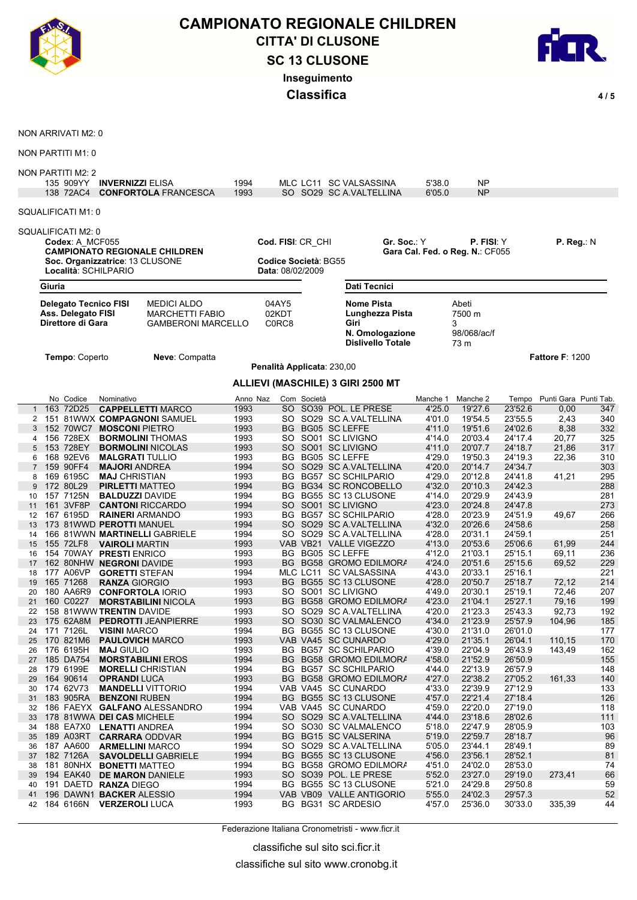

## **SC 13 CLUSONE** CITTA' DI CLUSONE<br>CITTA' DI CLUSONE<br>COLARENTE DI LIGONIE **CAMPIONATO REGIONALE CHILDREN Inseguimento**

**Classifica** 4/5



NON ARRIVATI M2: 0

NON PARTITI M1: 0

#### NON PARTITI M2: 2

| SQUALIFICATI M1: 0<br>SQUALIFICATI M2: 0<br>Cod. FISI: CR_CHI<br>Codex: A MCF055<br>Gr. Soc.∶ Y<br><b>P. FISI:</b> Y<br>P. Reg.: N<br><b>CAMPIONATO REGIONALE CHILDREN</b><br>Gara Cal. Fed. o Reg. N.: CF055<br>Soc. Organizzatrice: 13 CLUSONE<br>Codice Società: BG55<br>Località: SCHILPARIO<br>Data: 08/02/2009<br>Giuria<br>Dati Tecnici<br><b>Delegato Tecnico FISI</b><br><b>MEDICI ALDO</b><br>04AY5<br><b>Nome Pista</b><br>Abeti<br>02KDT<br>Ass. Delegato FISI<br><b>MARCHETTI FABIO</b><br>7500 m<br>Lunghezza Pista<br>Direttore di Gara<br>C0RC8<br>Giri<br>3<br><b>GAMBERONI MARCELLO</b><br>N. Omologazione<br>98/068/ac/f<br><b>Dislivello Totale</b><br>73 m<br>Tempo: Coperto<br><b>Fattore F: 1200</b><br>Neve: Compatta<br>Penalità Applicata: 230,00<br>ALLIEVI (MASCHILE) 3 GIRI 2500 MT<br>No Codice<br>Tempo Punti Gara Punti Tab.<br>Nominativo<br>Com Società<br>Manche 2<br>Anno Naz<br>Manche 1<br>163 72D25<br>SO SO39 POL. LE PRESE<br>23'52.6<br><b>CAPPELLETTI MARCO</b><br>1993<br>4'25.0<br>19'27.6<br>0,00<br>347<br>1993<br>SO SO29 SC A VALTELLINA<br>4'01.0<br>19'54.5<br>23'55.5<br>2,43<br>340<br>151 81WWX COMPAGNONI SAMUEL<br>2<br>24'02.6<br>1993<br>BG BG05 SC LEFFE<br>4'11.0<br>19'51.6<br>8,38<br>332<br>152 70WC7<br><b>MOSCONI PIETRO</b><br>3<br>156 728EX<br>1993<br>SO SO01 SC LIVIGNO<br>4'14.0<br>20'03.4<br>24'17.4<br>20,77<br>325<br><b>BORMOLINI THOMAS</b><br>4<br>5 153 728EY<br>1993<br>SO SO01 SC LIVIGNO<br>4'11.0<br>20'07.7<br>24'18.7<br>21,86<br>317<br><b>BORMOLINI NICOLAS</b><br>168 92EV6<br>1993<br>BG BG05 SC LEFFE<br>4'29.0<br>19'50.3<br>24'19.3<br>22,36<br>310<br><b>MALGRATI TULLIO</b><br>6<br>4'20.0<br>159 90FF4<br>1994<br>SO SO29 SC A.VALTELLINA<br>20'14.7<br>24'34.7<br>303<br><b>MAJORI ANDREA</b><br>1993<br>4'29.0<br>169 6195C<br>BG BG57 SC SCHILPARIO<br>20'12.8<br>24'41.8<br>295<br>41,21<br><b>MAJ CHRISTIAN</b><br>8<br>4'32.0<br>172 80L29<br>1994<br>BG BG34 SC RONCOBELLO<br>20'10.3<br>24'42.3<br>288<br><b>PIRLETTI MATTEO</b><br>9<br>1994<br>157 7125N<br>BG BG55 SC 13 CLUSONE<br>4'14.0<br>20'29.9<br>24'43.9<br>281<br><b>BALDUZZI DAVIDE</b><br>10<br>161 3VF8P<br>1994<br>SO SO01 SC LIVIGNO<br>4'23.0<br>20'24.8<br>24'47.8<br>273<br><b>CANTONI RICCARDO</b><br>11<br>1993<br>4'28.0<br>167 6195D<br>BG BG57 SC SCHILPARIO<br>20'23.9<br>24'51.9<br>266<br><b>RAINERI ARMANDO</b><br>49,67<br>12<br>4'32.0<br>1994<br>SO SO29 SC A VALTELLINA<br>20'26.6<br>24'58.6<br>258<br>173 81WWD PEROTTI MANUEL<br>13<br>4'28.0<br>1994<br>20'31.1<br>24'59.1<br>251<br>166 81WWN MARTINELLI GABRIELE<br>SO SO29 SC A.VALTELLINA<br>14<br>1993<br>VAB VB21 VALLE VIGEZZO<br>4'13.0<br>20'53.6<br>25'06.6<br>244<br>155 72LF8<br>61,99<br><b>VAIROLI MARTIN</b><br>15<br>154 70WAY PRESTI ENRICO<br>1993<br>BG BG05 SC LEFFE<br>4'12.0<br>21'03.1<br>25'15.1<br>236<br>69,11<br>16<br>1993<br>BG BG58 GROMO EDILMORA<br>4'24.0<br>20'51.6<br>25'15.6<br>229<br>162 80NHW NEGRONI DAVIDE<br>69,52<br>17<br>177 A06VP<br>1994<br>4'43.0<br>20'33.1<br>25'16.1<br>221<br>MLC LC11 SC VALSASSINA<br><b>GORETTI STEFAN</b><br>18<br>165 71268<br>1993<br>BG BG55 SC 13 CLUSONE<br>4'28.0<br>20'50.7<br>25'18.7<br>214<br>72,12<br><b>RANZA GIORGIO</b><br>19<br>180 AA6R9<br>1993<br>SO SO01 SC LIVIGNO<br>4'49.0<br>20'30.1<br>25'19.1<br>72,46<br>207<br><b>CONFORTOLA IORIO</b><br>20<br>160 C0227<br>1993<br>BG BG58 GROMO EDILMORA<br>4'23.0<br>21'04.1<br>25'27.1<br>79,16<br>199<br>21<br><b>MORSTABILINI NICOLA</b><br>158 81WWW TRENTIN DAVIDE<br>1993<br>4'20.0<br>21'23.3<br>25'43.3<br>SO SO29 SC A.VALTELLINA<br>92,73<br>192<br>22<br>1993<br>4'34.0<br>21'23.9<br>25'57.9<br>175 62A8M PEDROTTI JEANPIERRE<br>SO SO30 SC VALMALENCO<br>104,96<br>185<br>23<br>171 7126L<br>1994<br>4'30.0<br>21'31.0<br>26'01.0<br>BG BG55 SC 13 CLUSONE<br>177<br>24<br><b>VISINI MARCO</b><br>170 821M6<br>1993<br>VAB VA45 SC CUNARDO<br>4'29.0<br>21'35.1<br>26'04.1<br>170<br>110,15<br>25<br><b>PAULOVICH MARCO</b><br>1993<br>4'39.0<br>22'04.9<br>162<br>176 6195H<br>BG BG57 SC SCHILPARIO<br>26'43.9<br>143,49<br>26<br><b>MAJ GIULIO</b><br>21'52.9<br>27 185 DA754<br>1994<br>BG BG58 GROMO EDILMORA<br>26'50.9<br><b>MORSTABILINI EROS</b><br>4'58.0<br>155<br>1994<br>BG BG57 SC SCHILPARIO<br>4'44.0<br>22'13.9<br>26'57.9<br>148<br>179 6199E<br><b>MORELLI</b> CHRISTIAN<br>28<br>BG BG58 GROMO EDILMORA<br>4'27.0<br>22'38.2<br>164 90614<br>1993<br>27'05.2<br>161,33<br>140<br><b>OPRANDI LUCA</b><br>29<br>174 62V73<br>1994<br>VAB VA45 SC CUNARDO<br>4'33.0<br>22'39.9<br>27'12.9<br>133<br><b>MANDELLI VITTORIO</b><br>30<br>183 905RA<br>BG BG55 SC 13 CLUSONE<br>22'21.4<br>27'18.4<br>126<br>1994<br>4'57.0<br><b>BENZONI RUBEN</b><br>31<br>1994<br>VAB VA45 SC CUNARDO<br>4'59.0<br>22'20.0<br>27'19.0<br>118<br>186 FAEYX GALFANO ALESSANDRO<br>32<br>SO SO29 SC A.VALTELLINA<br>23'18.6<br>28'02.6<br>178 81WWA DEI CAS MICHELE<br>1994<br>4'44.0<br>$111$<br>33<br>1994<br>SO SO30 SC VALMALENCO<br>22'47.9<br>28'05.9<br>103<br>188 EA7X0 LENATTI ANDREA<br>5'18.0<br>34<br>189 A03RT<br>BG BG15 SC VALSERINA<br>22'59.7<br>28'18.7<br>96<br>1994<br>5'19.0<br><b>CARRARA ODDVAR</b><br>35<br>1994<br>SO SO29 SC A VALTELLINA<br>23'44.1<br>28'49.1<br>89<br>187 AA600<br>5'05.0<br><b>ARMELLINI MARCO</b><br>36<br>BG BG55 SC 13 CLUSONE<br>23'56.1<br>28'52.1<br>81<br>182 7126A<br>1994<br>4'56.0<br><b>SAVOLDELLI GABRIELE</b><br>37<br>1994<br>BG BG58 GROMO EDILMORA<br>4'51.0<br>24'02.0<br>28'53.0<br>74<br>181 80NHX BONETTI MATTEO<br>38<br>SO SO39 POL. LE PRESE<br>23'27.0<br>29'19.0<br>273,41<br>66<br>194 EAK40 DE MARON DANIELE<br>1993<br>5'52.0<br>39<br>1994<br>BG BG55 SC 13 CLUSONE<br>5'21.0<br>24'29.8<br>29'50.8<br>59<br>191 DAETD RANZA DIEGO<br>40<br>VAB VB09 VALLE ANTIGORIO<br>29'57.3<br>52<br>196 DAWN1 BACKER ALESSIO<br>1994<br>5'55.0<br>24'02.3<br>41<br>1993<br>BG BG31 SC ARDESIO<br>4'57.0<br>25'36.0<br>184 6166N VERZEROLI LUCA<br>30'33.0<br>335,39<br>44<br>42 |  | 135 909YY<br>138 72AC4 | <b>INVERNIZZI ELISA</b> | <b>CONFORTOLA FRANCESCA</b> | 1994<br>1993 |  | MLC LC11 SC VALSASSINA<br>SO SO29 SC A.VALTELLINA | 5'38.0<br>6'05.0 | <b>NP</b><br><b>NP</b> |  |  |
|----------------------------------------------------------------------------------------------------------------------------------------------------------------------------------------------------------------------------------------------------------------------------------------------------------------------------------------------------------------------------------------------------------------------------------------------------------------------------------------------------------------------------------------------------------------------------------------------------------------------------------------------------------------------------------------------------------------------------------------------------------------------------------------------------------------------------------------------------------------------------------------------------------------------------------------------------------------------------------------------------------------------------------------------------------------------------------------------------------------------------------------------------------------------------------------------------------------------------------------------------------------------------------------------------------------------------------------------------------------------------------------------------------------------------------------------------------------------------------------------------------------------------------------------------------------------------------------------------------------------------------------------------------------------------------------------------------------------------------------------------------------------------------------------------------------------------------------------------------------------------------------------------------------------------------------------------------------------------------------------------------------------------------------------------------------------------------------------------------------------------------------------------------------------------------------------------------------------------------------------------------------------------------------------------------------------------------------------------------------------------------------------------------------------------------------------------------------------------------------------------------------------------------------------------------------------------------------------------------------------------------------------------------------------------------------------------------------------------------------------------------------------------------------------------------------------------------------------------------------------------------------------------------------------------------------------------------------------------------------------------------------------------------------------------------------------------------------------------------------------------------------------------------------------------------------------------------------------------------------------------------------------------------------------------------------------------------------------------------------------------------------------------------------------------------------------------------------------------------------------------------------------------------------------------------------------------------------------------------------------------------------------------------------------------------------------------------------------------------------------------------------------------------------------------------------------------------------------------------------------------------------------------------------------------------------------------------------------------------------------------------------------------------------------------------------------------------------------------------------------------------------------------------------------------------------------------------------------------------------------------------------------------------------------------------------------------------------------------------------------------------------------------------------------------------------------------------------------------------------------------------------------------------------------------------------------------------------------------------------------------------------------------------------------------------------------------------------------------------------------------------------------------------------------------------------------------------------------------------------------------------------------------------------------------------------------------------------------------------------------------------------------------------------------------------------------------------------------------------------------------------------------------------------------------------------------------------------------------------------------------------------------------------------------------------------------------------------------------------------------------------------------------------------------------------------------------------------------------------------------------------------------------------------------------------------------------------------------------------------------------------------------------------------------------------------------------------------------------------------------------------------------------------------------------------------------------------------------------------------------------------------------------------------------------------------------------------------------------------------------------------------------------------------------|--|------------------------|-------------------------|-----------------------------|--------------|--|---------------------------------------------------|------------------|------------------------|--|--|
|                                                                                                                                                                                                                                                                                                                                                                                                                                                                                                                                                                                                                                                                                                                                                                                                                                                                                                                                                                                                                                                                                                                                                                                                                                                                                                                                                                                                                                                                                                                                                                                                                                                                                                                                                                                                                                                                                                                                                                                                                                                                                                                                                                                                                                                                                                                                                                                                                                                                                                                                                                                                                                                                                                                                                                                                                                                                                                                                                                                                                                                                                                                                                                                                                                                                                                                                                                                                                                                                                                                                                                                                                                                                                                                                                                                                                                                                                                                                                                                                                                                                                                                                                                                                                                                                                                                                                                                                                                                                                                                                                                                                                                                                                                                                                                                                                                                                                                                                                                                                                                                                                                                                                                                                                                                                                                                                                                                                                                                                                                                                                                                                                                                                                                                                                                                                                                                                                                                                                                                                                                              |  |                        |                         |                             |              |  |                                                   |                  |                        |  |  |
|                                                                                                                                                                                                                                                                                                                                                                                                                                                                                                                                                                                                                                                                                                                                                                                                                                                                                                                                                                                                                                                                                                                                                                                                                                                                                                                                                                                                                                                                                                                                                                                                                                                                                                                                                                                                                                                                                                                                                                                                                                                                                                                                                                                                                                                                                                                                                                                                                                                                                                                                                                                                                                                                                                                                                                                                                                                                                                                                                                                                                                                                                                                                                                                                                                                                                                                                                                                                                                                                                                                                                                                                                                                                                                                                                                                                                                                                                                                                                                                                                                                                                                                                                                                                                                                                                                                                                                                                                                                                                                                                                                                                                                                                                                                                                                                                                                                                                                                                                                                                                                                                                                                                                                                                                                                                                                                                                                                                                                                                                                                                                                                                                                                                                                                                                                                                                                                                                                                                                                                                                                              |  |                        |                         |                             |              |  |                                                   |                  |                        |  |  |
|                                                                                                                                                                                                                                                                                                                                                                                                                                                                                                                                                                                                                                                                                                                                                                                                                                                                                                                                                                                                                                                                                                                                                                                                                                                                                                                                                                                                                                                                                                                                                                                                                                                                                                                                                                                                                                                                                                                                                                                                                                                                                                                                                                                                                                                                                                                                                                                                                                                                                                                                                                                                                                                                                                                                                                                                                                                                                                                                                                                                                                                                                                                                                                                                                                                                                                                                                                                                                                                                                                                                                                                                                                                                                                                                                                                                                                                                                                                                                                                                                                                                                                                                                                                                                                                                                                                                                                                                                                                                                                                                                                                                                                                                                                                                                                                                                                                                                                                                                                                                                                                                                                                                                                                                                                                                                                                                                                                                                                                                                                                                                                                                                                                                                                                                                                                                                                                                                                                                                                                                                                              |  |                        |                         |                             |              |  |                                                   |                  |                        |  |  |
|                                                                                                                                                                                                                                                                                                                                                                                                                                                                                                                                                                                                                                                                                                                                                                                                                                                                                                                                                                                                                                                                                                                                                                                                                                                                                                                                                                                                                                                                                                                                                                                                                                                                                                                                                                                                                                                                                                                                                                                                                                                                                                                                                                                                                                                                                                                                                                                                                                                                                                                                                                                                                                                                                                                                                                                                                                                                                                                                                                                                                                                                                                                                                                                                                                                                                                                                                                                                                                                                                                                                                                                                                                                                                                                                                                                                                                                                                                                                                                                                                                                                                                                                                                                                                                                                                                                                                                                                                                                                                                                                                                                                                                                                                                                                                                                                                                                                                                                                                                                                                                                                                                                                                                                                                                                                                                                                                                                                                                                                                                                                                                                                                                                                                                                                                                                                                                                                                                                                                                                                                                              |  |                        |                         |                             |              |  |                                                   |                  |                        |  |  |
|                                                                                                                                                                                                                                                                                                                                                                                                                                                                                                                                                                                                                                                                                                                                                                                                                                                                                                                                                                                                                                                                                                                                                                                                                                                                                                                                                                                                                                                                                                                                                                                                                                                                                                                                                                                                                                                                                                                                                                                                                                                                                                                                                                                                                                                                                                                                                                                                                                                                                                                                                                                                                                                                                                                                                                                                                                                                                                                                                                                                                                                                                                                                                                                                                                                                                                                                                                                                                                                                                                                                                                                                                                                                                                                                                                                                                                                                                                                                                                                                                                                                                                                                                                                                                                                                                                                                                                                                                                                                                                                                                                                                                                                                                                                                                                                                                                                                                                                                                                                                                                                                                                                                                                                                                                                                                                                                                                                                                                                                                                                                                                                                                                                                                                                                                                                                                                                                                                                                                                                                                                              |  |                        |                         |                             |              |  |                                                   |                  |                        |  |  |
|                                                                                                                                                                                                                                                                                                                                                                                                                                                                                                                                                                                                                                                                                                                                                                                                                                                                                                                                                                                                                                                                                                                                                                                                                                                                                                                                                                                                                                                                                                                                                                                                                                                                                                                                                                                                                                                                                                                                                                                                                                                                                                                                                                                                                                                                                                                                                                                                                                                                                                                                                                                                                                                                                                                                                                                                                                                                                                                                                                                                                                                                                                                                                                                                                                                                                                                                                                                                                                                                                                                                                                                                                                                                                                                                                                                                                                                                                                                                                                                                                                                                                                                                                                                                                                                                                                                                                                                                                                                                                                                                                                                                                                                                                                                                                                                                                                                                                                                                                                                                                                                                                                                                                                                                                                                                                                                                                                                                                                                                                                                                                                                                                                                                                                                                                                                                                                                                                                                                                                                                                                              |  |                        |                         |                             |              |  |                                                   |                  |                        |  |  |
|                                                                                                                                                                                                                                                                                                                                                                                                                                                                                                                                                                                                                                                                                                                                                                                                                                                                                                                                                                                                                                                                                                                                                                                                                                                                                                                                                                                                                                                                                                                                                                                                                                                                                                                                                                                                                                                                                                                                                                                                                                                                                                                                                                                                                                                                                                                                                                                                                                                                                                                                                                                                                                                                                                                                                                                                                                                                                                                                                                                                                                                                                                                                                                                                                                                                                                                                                                                                                                                                                                                                                                                                                                                                                                                                                                                                                                                                                                                                                                                                                                                                                                                                                                                                                                                                                                                                                                                                                                                                                                                                                                                                                                                                                                                                                                                                                                                                                                                                                                                                                                                                                                                                                                                                                                                                                                                                                                                                                                                                                                                                                                                                                                                                                                                                                                                                                                                                                                                                                                                                                                              |  |                        |                         |                             |              |  |                                                   |                  |                        |  |  |
|                                                                                                                                                                                                                                                                                                                                                                                                                                                                                                                                                                                                                                                                                                                                                                                                                                                                                                                                                                                                                                                                                                                                                                                                                                                                                                                                                                                                                                                                                                                                                                                                                                                                                                                                                                                                                                                                                                                                                                                                                                                                                                                                                                                                                                                                                                                                                                                                                                                                                                                                                                                                                                                                                                                                                                                                                                                                                                                                                                                                                                                                                                                                                                                                                                                                                                                                                                                                                                                                                                                                                                                                                                                                                                                                                                                                                                                                                                                                                                                                                                                                                                                                                                                                                                                                                                                                                                                                                                                                                                                                                                                                                                                                                                                                                                                                                                                                                                                                                                                                                                                                                                                                                                                                                                                                                                                                                                                                                                                                                                                                                                                                                                                                                                                                                                                                                                                                                                                                                                                                                                              |  |                        |                         |                             |              |  |                                                   |                  |                        |  |  |
|                                                                                                                                                                                                                                                                                                                                                                                                                                                                                                                                                                                                                                                                                                                                                                                                                                                                                                                                                                                                                                                                                                                                                                                                                                                                                                                                                                                                                                                                                                                                                                                                                                                                                                                                                                                                                                                                                                                                                                                                                                                                                                                                                                                                                                                                                                                                                                                                                                                                                                                                                                                                                                                                                                                                                                                                                                                                                                                                                                                                                                                                                                                                                                                                                                                                                                                                                                                                                                                                                                                                                                                                                                                                                                                                                                                                                                                                                                                                                                                                                                                                                                                                                                                                                                                                                                                                                                                                                                                                                                                                                                                                                                                                                                                                                                                                                                                                                                                                                                                                                                                                                                                                                                                                                                                                                                                                                                                                                                                                                                                                                                                                                                                                                                                                                                                                                                                                                                                                                                                                                                              |  |                        |                         |                             |              |  |                                                   |                  |                        |  |  |
|                                                                                                                                                                                                                                                                                                                                                                                                                                                                                                                                                                                                                                                                                                                                                                                                                                                                                                                                                                                                                                                                                                                                                                                                                                                                                                                                                                                                                                                                                                                                                                                                                                                                                                                                                                                                                                                                                                                                                                                                                                                                                                                                                                                                                                                                                                                                                                                                                                                                                                                                                                                                                                                                                                                                                                                                                                                                                                                                                                                                                                                                                                                                                                                                                                                                                                                                                                                                                                                                                                                                                                                                                                                                                                                                                                                                                                                                                                                                                                                                                                                                                                                                                                                                                                                                                                                                                                                                                                                                                                                                                                                                                                                                                                                                                                                                                                                                                                                                                                                                                                                                                                                                                                                                                                                                                                                                                                                                                                                                                                                                                                                                                                                                                                                                                                                                                                                                                                                                                                                                                                              |  |                        |                         |                             |              |  |                                                   |                  |                        |  |  |
|                                                                                                                                                                                                                                                                                                                                                                                                                                                                                                                                                                                                                                                                                                                                                                                                                                                                                                                                                                                                                                                                                                                                                                                                                                                                                                                                                                                                                                                                                                                                                                                                                                                                                                                                                                                                                                                                                                                                                                                                                                                                                                                                                                                                                                                                                                                                                                                                                                                                                                                                                                                                                                                                                                                                                                                                                                                                                                                                                                                                                                                                                                                                                                                                                                                                                                                                                                                                                                                                                                                                                                                                                                                                                                                                                                                                                                                                                                                                                                                                                                                                                                                                                                                                                                                                                                                                                                                                                                                                                                                                                                                                                                                                                                                                                                                                                                                                                                                                                                                                                                                                                                                                                                                                                                                                                                                                                                                                                                                                                                                                                                                                                                                                                                                                                                                                                                                                                                                                                                                                                                              |  |                        |                         |                             |              |  |                                                   |                  |                        |  |  |
|                                                                                                                                                                                                                                                                                                                                                                                                                                                                                                                                                                                                                                                                                                                                                                                                                                                                                                                                                                                                                                                                                                                                                                                                                                                                                                                                                                                                                                                                                                                                                                                                                                                                                                                                                                                                                                                                                                                                                                                                                                                                                                                                                                                                                                                                                                                                                                                                                                                                                                                                                                                                                                                                                                                                                                                                                                                                                                                                                                                                                                                                                                                                                                                                                                                                                                                                                                                                                                                                                                                                                                                                                                                                                                                                                                                                                                                                                                                                                                                                                                                                                                                                                                                                                                                                                                                                                                                                                                                                                                                                                                                                                                                                                                                                                                                                                                                                                                                                                                                                                                                                                                                                                                                                                                                                                                                                                                                                                                                                                                                                                                                                                                                                                                                                                                                                                                                                                                                                                                                                                                              |  |                        |                         |                             |              |  |                                                   |                  |                        |  |  |
|                                                                                                                                                                                                                                                                                                                                                                                                                                                                                                                                                                                                                                                                                                                                                                                                                                                                                                                                                                                                                                                                                                                                                                                                                                                                                                                                                                                                                                                                                                                                                                                                                                                                                                                                                                                                                                                                                                                                                                                                                                                                                                                                                                                                                                                                                                                                                                                                                                                                                                                                                                                                                                                                                                                                                                                                                                                                                                                                                                                                                                                                                                                                                                                                                                                                                                                                                                                                                                                                                                                                                                                                                                                                                                                                                                                                                                                                                                                                                                                                                                                                                                                                                                                                                                                                                                                                                                                                                                                                                                                                                                                                                                                                                                                                                                                                                                                                                                                                                                                                                                                                                                                                                                                                                                                                                                                                                                                                                                                                                                                                                                                                                                                                                                                                                                                                                                                                                                                                                                                                                                              |  |                        |                         |                             |              |  |                                                   |                  |                        |  |  |
|                                                                                                                                                                                                                                                                                                                                                                                                                                                                                                                                                                                                                                                                                                                                                                                                                                                                                                                                                                                                                                                                                                                                                                                                                                                                                                                                                                                                                                                                                                                                                                                                                                                                                                                                                                                                                                                                                                                                                                                                                                                                                                                                                                                                                                                                                                                                                                                                                                                                                                                                                                                                                                                                                                                                                                                                                                                                                                                                                                                                                                                                                                                                                                                                                                                                                                                                                                                                                                                                                                                                                                                                                                                                                                                                                                                                                                                                                                                                                                                                                                                                                                                                                                                                                                                                                                                                                                                                                                                                                                                                                                                                                                                                                                                                                                                                                                                                                                                                                                                                                                                                                                                                                                                                                                                                                                                                                                                                                                                                                                                                                                                                                                                                                                                                                                                                                                                                                                                                                                                                                                              |  |                        |                         |                             |              |  |                                                   |                  |                        |  |  |
|                                                                                                                                                                                                                                                                                                                                                                                                                                                                                                                                                                                                                                                                                                                                                                                                                                                                                                                                                                                                                                                                                                                                                                                                                                                                                                                                                                                                                                                                                                                                                                                                                                                                                                                                                                                                                                                                                                                                                                                                                                                                                                                                                                                                                                                                                                                                                                                                                                                                                                                                                                                                                                                                                                                                                                                                                                                                                                                                                                                                                                                                                                                                                                                                                                                                                                                                                                                                                                                                                                                                                                                                                                                                                                                                                                                                                                                                                                                                                                                                                                                                                                                                                                                                                                                                                                                                                                                                                                                                                                                                                                                                                                                                                                                                                                                                                                                                                                                                                                                                                                                                                                                                                                                                                                                                                                                                                                                                                                                                                                                                                                                                                                                                                                                                                                                                                                                                                                                                                                                                                                              |  |                        |                         |                             |              |  |                                                   |                  |                        |  |  |
|                                                                                                                                                                                                                                                                                                                                                                                                                                                                                                                                                                                                                                                                                                                                                                                                                                                                                                                                                                                                                                                                                                                                                                                                                                                                                                                                                                                                                                                                                                                                                                                                                                                                                                                                                                                                                                                                                                                                                                                                                                                                                                                                                                                                                                                                                                                                                                                                                                                                                                                                                                                                                                                                                                                                                                                                                                                                                                                                                                                                                                                                                                                                                                                                                                                                                                                                                                                                                                                                                                                                                                                                                                                                                                                                                                                                                                                                                                                                                                                                                                                                                                                                                                                                                                                                                                                                                                                                                                                                                                                                                                                                                                                                                                                                                                                                                                                                                                                                                                                                                                                                                                                                                                                                                                                                                                                                                                                                                                                                                                                                                                                                                                                                                                                                                                                                                                                                                                                                                                                                                                              |  |                        |                         |                             |              |  |                                                   |                  |                        |  |  |
|                                                                                                                                                                                                                                                                                                                                                                                                                                                                                                                                                                                                                                                                                                                                                                                                                                                                                                                                                                                                                                                                                                                                                                                                                                                                                                                                                                                                                                                                                                                                                                                                                                                                                                                                                                                                                                                                                                                                                                                                                                                                                                                                                                                                                                                                                                                                                                                                                                                                                                                                                                                                                                                                                                                                                                                                                                                                                                                                                                                                                                                                                                                                                                                                                                                                                                                                                                                                                                                                                                                                                                                                                                                                                                                                                                                                                                                                                                                                                                                                                                                                                                                                                                                                                                                                                                                                                                                                                                                                                                                                                                                                                                                                                                                                                                                                                                                                                                                                                                                                                                                                                                                                                                                                                                                                                                                                                                                                                                                                                                                                                                                                                                                                                                                                                                                                                                                                                                                                                                                                                                              |  |                        |                         |                             |              |  |                                                   |                  |                        |  |  |
|                                                                                                                                                                                                                                                                                                                                                                                                                                                                                                                                                                                                                                                                                                                                                                                                                                                                                                                                                                                                                                                                                                                                                                                                                                                                                                                                                                                                                                                                                                                                                                                                                                                                                                                                                                                                                                                                                                                                                                                                                                                                                                                                                                                                                                                                                                                                                                                                                                                                                                                                                                                                                                                                                                                                                                                                                                                                                                                                                                                                                                                                                                                                                                                                                                                                                                                                                                                                                                                                                                                                                                                                                                                                                                                                                                                                                                                                                                                                                                                                                                                                                                                                                                                                                                                                                                                                                                                                                                                                                                                                                                                                                                                                                                                                                                                                                                                                                                                                                                                                                                                                                                                                                                                                                                                                                                                                                                                                                                                                                                                                                                                                                                                                                                                                                                                                                                                                                                                                                                                                                                              |  |                        |                         |                             |              |  |                                                   |                  |                        |  |  |
|                                                                                                                                                                                                                                                                                                                                                                                                                                                                                                                                                                                                                                                                                                                                                                                                                                                                                                                                                                                                                                                                                                                                                                                                                                                                                                                                                                                                                                                                                                                                                                                                                                                                                                                                                                                                                                                                                                                                                                                                                                                                                                                                                                                                                                                                                                                                                                                                                                                                                                                                                                                                                                                                                                                                                                                                                                                                                                                                                                                                                                                                                                                                                                                                                                                                                                                                                                                                                                                                                                                                                                                                                                                                                                                                                                                                                                                                                                                                                                                                                                                                                                                                                                                                                                                                                                                                                                                                                                                                                                                                                                                                                                                                                                                                                                                                                                                                                                                                                                                                                                                                                                                                                                                                                                                                                                                                                                                                                                                                                                                                                                                                                                                                                                                                                                                                                                                                                                                                                                                                                                              |  |                        |                         |                             |              |  |                                                   |                  |                        |  |  |
|                                                                                                                                                                                                                                                                                                                                                                                                                                                                                                                                                                                                                                                                                                                                                                                                                                                                                                                                                                                                                                                                                                                                                                                                                                                                                                                                                                                                                                                                                                                                                                                                                                                                                                                                                                                                                                                                                                                                                                                                                                                                                                                                                                                                                                                                                                                                                                                                                                                                                                                                                                                                                                                                                                                                                                                                                                                                                                                                                                                                                                                                                                                                                                                                                                                                                                                                                                                                                                                                                                                                                                                                                                                                                                                                                                                                                                                                                                                                                                                                                                                                                                                                                                                                                                                                                                                                                                                                                                                                                                                                                                                                                                                                                                                                                                                                                                                                                                                                                                                                                                                                                                                                                                                                                                                                                                                                                                                                                                                                                                                                                                                                                                                                                                                                                                                                                                                                                                                                                                                                                                              |  |                        |                         |                             |              |  |                                                   |                  |                        |  |  |
|                                                                                                                                                                                                                                                                                                                                                                                                                                                                                                                                                                                                                                                                                                                                                                                                                                                                                                                                                                                                                                                                                                                                                                                                                                                                                                                                                                                                                                                                                                                                                                                                                                                                                                                                                                                                                                                                                                                                                                                                                                                                                                                                                                                                                                                                                                                                                                                                                                                                                                                                                                                                                                                                                                                                                                                                                                                                                                                                                                                                                                                                                                                                                                                                                                                                                                                                                                                                                                                                                                                                                                                                                                                                                                                                                                                                                                                                                                                                                                                                                                                                                                                                                                                                                                                                                                                                                                                                                                                                                                                                                                                                                                                                                                                                                                                                                                                                                                                                                                                                                                                                                                                                                                                                                                                                                                                                                                                                                                                                                                                                                                                                                                                                                                                                                                                                                                                                                                                                                                                                                                              |  |                        |                         |                             |              |  |                                                   |                  |                        |  |  |
|                                                                                                                                                                                                                                                                                                                                                                                                                                                                                                                                                                                                                                                                                                                                                                                                                                                                                                                                                                                                                                                                                                                                                                                                                                                                                                                                                                                                                                                                                                                                                                                                                                                                                                                                                                                                                                                                                                                                                                                                                                                                                                                                                                                                                                                                                                                                                                                                                                                                                                                                                                                                                                                                                                                                                                                                                                                                                                                                                                                                                                                                                                                                                                                                                                                                                                                                                                                                                                                                                                                                                                                                                                                                                                                                                                                                                                                                                                                                                                                                                                                                                                                                                                                                                                                                                                                                                                                                                                                                                                                                                                                                                                                                                                                                                                                                                                                                                                                                                                                                                                                                                                                                                                                                                                                                                                                                                                                                                                                                                                                                                                                                                                                                                                                                                                                                                                                                                                                                                                                                                                              |  |                        |                         |                             |              |  |                                                   |                  |                        |  |  |
|                                                                                                                                                                                                                                                                                                                                                                                                                                                                                                                                                                                                                                                                                                                                                                                                                                                                                                                                                                                                                                                                                                                                                                                                                                                                                                                                                                                                                                                                                                                                                                                                                                                                                                                                                                                                                                                                                                                                                                                                                                                                                                                                                                                                                                                                                                                                                                                                                                                                                                                                                                                                                                                                                                                                                                                                                                                                                                                                                                                                                                                                                                                                                                                                                                                                                                                                                                                                                                                                                                                                                                                                                                                                                                                                                                                                                                                                                                                                                                                                                                                                                                                                                                                                                                                                                                                                                                                                                                                                                                                                                                                                                                                                                                                                                                                                                                                                                                                                                                                                                                                                                                                                                                                                                                                                                                                                                                                                                                                                                                                                                                                                                                                                                                                                                                                                                                                                                                                                                                                                                                              |  |                        |                         |                             |              |  |                                                   |                  |                        |  |  |
|                                                                                                                                                                                                                                                                                                                                                                                                                                                                                                                                                                                                                                                                                                                                                                                                                                                                                                                                                                                                                                                                                                                                                                                                                                                                                                                                                                                                                                                                                                                                                                                                                                                                                                                                                                                                                                                                                                                                                                                                                                                                                                                                                                                                                                                                                                                                                                                                                                                                                                                                                                                                                                                                                                                                                                                                                                                                                                                                                                                                                                                                                                                                                                                                                                                                                                                                                                                                                                                                                                                                                                                                                                                                                                                                                                                                                                                                                                                                                                                                                                                                                                                                                                                                                                                                                                                                                                                                                                                                                                                                                                                                                                                                                                                                                                                                                                                                                                                                                                                                                                                                                                                                                                                                                                                                                                                                                                                                                                                                                                                                                                                                                                                                                                                                                                                                                                                                                                                                                                                                                                              |  |                        |                         |                             |              |  |                                                   |                  |                        |  |  |
|                                                                                                                                                                                                                                                                                                                                                                                                                                                                                                                                                                                                                                                                                                                                                                                                                                                                                                                                                                                                                                                                                                                                                                                                                                                                                                                                                                                                                                                                                                                                                                                                                                                                                                                                                                                                                                                                                                                                                                                                                                                                                                                                                                                                                                                                                                                                                                                                                                                                                                                                                                                                                                                                                                                                                                                                                                                                                                                                                                                                                                                                                                                                                                                                                                                                                                                                                                                                                                                                                                                                                                                                                                                                                                                                                                                                                                                                                                                                                                                                                                                                                                                                                                                                                                                                                                                                                                                                                                                                                                                                                                                                                                                                                                                                                                                                                                                                                                                                                                                                                                                                                                                                                                                                                                                                                                                                                                                                                                                                                                                                                                                                                                                                                                                                                                                                                                                                                                                                                                                                                                              |  |                        |                         |                             |              |  |                                                   |                  |                        |  |  |
|                                                                                                                                                                                                                                                                                                                                                                                                                                                                                                                                                                                                                                                                                                                                                                                                                                                                                                                                                                                                                                                                                                                                                                                                                                                                                                                                                                                                                                                                                                                                                                                                                                                                                                                                                                                                                                                                                                                                                                                                                                                                                                                                                                                                                                                                                                                                                                                                                                                                                                                                                                                                                                                                                                                                                                                                                                                                                                                                                                                                                                                                                                                                                                                                                                                                                                                                                                                                                                                                                                                                                                                                                                                                                                                                                                                                                                                                                                                                                                                                                                                                                                                                                                                                                                                                                                                                                                                                                                                                                                                                                                                                                                                                                                                                                                                                                                                                                                                                                                                                                                                                                                                                                                                                                                                                                                                                                                                                                                                                                                                                                                                                                                                                                                                                                                                                                                                                                                                                                                                                                                              |  |                        |                         |                             |              |  |                                                   |                  |                        |  |  |
|                                                                                                                                                                                                                                                                                                                                                                                                                                                                                                                                                                                                                                                                                                                                                                                                                                                                                                                                                                                                                                                                                                                                                                                                                                                                                                                                                                                                                                                                                                                                                                                                                                                                                                                                                                                                                                                                                                                                                                                                                                                                                                                                                                                                                                                                                                                                                                                                                                                                                                                                                                                                                                                                                                                                                                                                                                                                                                                                                                                                                                                                                                                                                                                                                                                                                                                                                                                                                                                                                                                                                                                                                                                                                                                                                                                                                                                                                                                                                                                                                                                                                                                                                                                                                                                                                                                                                                                                                                                                                                                                                                                                                                                                                                                                                                                                                                                                                                                                                                                                                                                                                                                                                                                                                                                                                                                                                                                                                                                                                                                                                                                                                                                                                                                                                                                                                                                                                                                                                                                                                                              |  |                        |                         |                             |              |  |                                                   |                  |                        |  |  |
|                                                                                                                                                                                                                                                                                                                                                                                                                                                                                                                                                                                                                                                                                                                                                                                                                                                                                                                                                                                                                                                                                                                                                                                                                                                                                                                                                                                                                                                                                                                                                                                                                                                                                                                                                                                                                                                                                                                                                                                                                                                                                                                                                                                                                                                                                                                                                                                                                                                                                                                                                                                                                                                                                                                                                                                                                                                                                                                                                                                                                                                                                                                                                                                                                                                                                                                                                                                                                                                                                                                                                                                                                                                                                                                                                                                                                                                                                                                                                                                                                                                                                                                                                                                                                                                                                                                                                                                                                                                                                                                                                                                                                                                                                                                                                                                                                                                                                                                                                                                                                                                                                                                                                                                                                                                                                                                                                                                                                                                                                                                                                                                                                                                                                                                                                                                                                                                                                                                                                                                                                                              |  |                        |                         |                             |              |  |                                                   |                  |                        |  |  |
|                                                                                                                                                                                                                                                                                                                                                                                                                                                                                                                                                                                                                                                                                                                                                                                                                                                                                                                                                                                                                                                                                                                                                                                                                                                                                                                                                                                                                                                                                                                                                                                                                                                                                                                                                                                                                                                                                                                                                                                                                                                                                                                                                                                                                                                                                                                                                                                                                                                                                                                                                                                                                                                                                                                                                                                                                                                                                                                                                                                                                                                                                                                                                                                                                                                                                                                                                                                                                                                                                                                                                                                                                                                                                                                                                                                                                                                                                                                                                                                                                                                                                                                                                                                                                                                                                                                                                                                                                                                                                                                                                                                                                                                                                                                                                                                                                                                                                                                                                                                                                                                                                                                                                                                                                                                                                                                                                                                                                                                                                                                                                                                                                                                                                                                                                                                                                                                                                                                                                                                                                                              |  |                        |                         |                             |              |  |                                                   |                  |                        |  |  |
|                                                                                                                                                                                                                                                                                                                                                                                                                                                                                                                                                                                                                                                                                                                                                                                                                                                                                                                                                                                                                                                                                                                                                                                                                                                                                                                                                                                                                                                                                                                                                                                                                                                                                                                                                                                                                                                                                                                                                                                                                                                                                                                                                                                                                                                                                                                                                                                                                                                                                                                                                                                                                                                                                                                                                                                                                                                                                                                                                                                                                                                                                                                                                                                                                                                                                                                                                                                                                                                                                                                                                                                                                                                                                                                                                                                                                                                                                                                                                                                                                                                                                                                                                                                                                                                                                                                                                                                                                                                                                                                                                                                                                                                                                                                                                                                                                                                                                                                                                                                                                                                                                                                                                                                                                                                                                                                                                                                                                                                                                                                                                                                                                                                                                                                                                                                                                                                                                                                                                                                                                                              |  |                        |                         |                             |              |  |                                                   |                  |                        |  |  |
|                                                                                                                                                                                                                                                                                                                                                                                                                                                                                                                                                                                                                                                                                                                                                                                                                                                                                                                                                                                                                                                                                                                                                                                                                                                                                                                                                                                                                                                                                                                                                                                                                                                                                                                                                                                                                                                                                                                                                                                                                                                                                                                                                                                                                                                                                                                                                                                                                                                                                                                                                                                                                                                                                                                                                                                                                                                                                                                                                                                                                                                                                                                                                                                                                                                                                                                                                                                                                                                                                                                                                                                                                                                                                                                                                                                                                                                                                                                                                                                                                                                                                                                                                                                                                                                                                                                                                                                                                                                                                                                                                                                                                                                                                                                                                                                                                                                                                                                                                                                                                                                                                                                                                                                                                                                                                                                                                                                                                                                                                                                                                                                                                                                                                                                                                                                                                                                                                                                                                                                                                                              |  |                        |                         |                             |              |  |                                                   |                  |                        |  |  |
|                                                                                                                                                                                                                                                                                                                                                                                                                                                                                                                                                                                                                                                                                                                                                                                                                                                                                                                                                                                                                                                                                                                                                                                                                                                                                                                                                                                                                                                                                                                                                                                                                                                                                                                                                                                                                                                                                                                                                                                                                                                                                                                                                                                                                                                                                                                                                                                                                                                                                                                                                                                                                                                                                                                                                                                                                                                                                                                                                                                                                                                                                                                                                                                                                                                                                                                                                                                                                                                                                                                                                                                                                                                                                                                                                                                                                                                                                                                                                                                                                                                                                                                                                                                                                                                                                                                                                                                                                                                                                                                                                                                                                                                                                                                                                                                                                                                                                                                                                                                                                                                                                                                                                                                                                                                                                                                                                                                                                                                                                                                                                                                                                                                                                                                                                                                                                                                                                                                                                                                                                                              |  |                        |                         |                             |              |  |                                                   |                  |                        |  |  |
|                                                                                                                                                                                                                                                                                                                                                                                                                                                                                                                                                                                                                                                                                                                                                                                                                                                                                                                                                                                                                                                                                                                                                                                                                                                                                                                                                                                                                                                                                                                                                                                                                                                                                                                                                                                                                                                                                                                                                                                                                                                                                                                                                                                                                                                                                                                                                                                                                                                                                                                                                                                                                                                                                                                                                                                                                                                                                                                                                                                                                                                                                                                                                                                                                                                                                                                                                                                                                                                                                                                                                                                                                                                                                                                                                                                                                                                                                                                                                                                                                                                                                                                                                                                                                                                                                                                                                                                                                                                                                                                                                                                                                                                                                                                                                                                                                                                                                                                                                                                                                                                                                                                                                                                                                                                                                                                                                                                                                                                                                                                                                                                                                                                                                                                                                                                                                                                                                                                                                                                                                                              |  |                        |                         |                             |              |  |                                                   |                  |                        |  |  |
|                                                                                                                                                                                                                                                                                                                                                                                                                                                                                                                                                                                                                                                                                                                                                                                                                                                                                                                                                                                                                                                                                                                                                                                                                                                                                                                                                                                                                                                                                                                                                                                                                                                                                                                                                                                                                                                                                                                                                                                                                                                                                                                                                                                                                                                                                                                                                                                                                                                                                                                                                                                                                                                                                                                                                                                                                                                                                                                                                                                                                                                                                                                                                                                                                                                                                                                                                                                                                                                                                                                                                                                                                                                                                                                                                                                                                                                                                                                                                                                                                                                                                                                                                                                                                                                                                                                                                                                                                                                                                                                                                                                                                                                                                                                                                                                                                                                                                                                                                                                                                                                                                                                                                                                                                                                                                                                                                                                                                                                                                                                                                                                                                                                                                                                                                                                                                                                                                                                                                                                                                                              |  |                        |                         |                             |              |  |                                                   |                  |                        |  |  |
|                                                                                                                                                                                                                                                                                                                                                                                                                                                                                                                                                                                                                                                                                                                                                                                                                                                                                                                                                                                                                                                                                                                                                                                                                                                                                                                                                                                                                                                                                                                                                                                                                                                                                                                                                                                                                                                                                                                                                                                                                                                                                                                                                                                                                                                                                                                                                                                                                                                                                                                                                                                                                                                                                                                                                                                                                                                                                                                                                                                                                                                                                                                                                                                                                                                                                                                                                                                                                                                                                                                                                                                                                                                                                                                                                                                                                                                                                                                                                                                                                                                                                                                                                                                                                                                                                                                                                                                                                                                                                                                                                                                                                                                                                                                                                                                                                                                                                                                                                                                                                                                                                                                                                                                                                                                                                                                                                                                                                                                                                                                                                                                                                                                                                                                                                                                                                                                                                                                                                                                                                                              |  |                        |                         |                             |              |  |                                                   |                  |                        |  |  |
|                                                                                                                                                                                                                                                                                                                                                                                                                                                                                                                                                                                                                                                                                                                                                                                                                                                                                                                                                                                                                                                                                                                                                                                                                                                                                                                                                                                                                                                                                                                                                                                                                                                                                                                                                                                                                                                                                                                                                                                                                                                                                                                                                                                                                                                                                                                                                                                                                                                                                                                                                                                                                                                                                                                                                                                                                                                                                                                                                                                                                                                                                                                                                                                                                                                                                                                                                                                                                                                                                                                                                                                                                                                                                                                                                                                                                                                                                                                                                                                                                                                                                                                                                                                                                                                                                                                                                                                                                                                                                                                                                                                                                                                                                                                                                                                                                                                                                                                                                                                                                                                                                                                                                                                                                                                                                                                                                                                                                                                                                                                                                                                                                                                                                                                                                                                                                                                                                                                                                                                                                                              |  |                        |                         |                             |              |  |                                                   |                  |                        |  |  |
|                                                                                                                                                                                                                                                                                                                                                                                                                                                                                                                                                                                                                                                                                                                                                                                                                                                                                                                                                                                                                                                                                                                                                                                                                                                                                                                                                                                                                                                                                                                                                                                                                                                                                                                                                                                                                                                                                                                                                                                                                                                                                                                                                                                                                                                                                                                                                                                                                                                                                                                                                                                                                                                                                                                                                                                                                                                                                                                                                                                                                                                                                                                                                                                                                                                                                                                                                                                                                                                                                                                                                                                                                                                                                                                                                                                                                                                                                                                                                                                                                                                                                                                                                                                                                                                                                                                                                                                                                                                                                                                                                                                                                                                                                                                                                                                                                                                                                                                                                                                                                                                                                                                                                                                                                                                                                                                                                                                                                                                                                                                                                                                                                                                                                                                                                                                                                                                                                                                                                                                                                                              |  |                        |                         |                             |              |  |                                                   |                  |                        |  |  |
|                                                                                                                                                                                                                                                                                                                                                                                                                                                                                                                                                                                                                                                                                                                                                                                                                                                                                                                                                                                                                                                                                                                                                                                                                                                                                                                                                                                                                                                                                                                                                                                                                                                                                                                                                                                                                                                                                                                                                                                                                                                                                                                                                                                                                                                                                                                                                                                                                                                                                                                                                                                                                                                                                                                                                                                                                                                                                                                                                                                                                                                                                                                                                                                                                                                                                                                                                                                                                                                                                                                                                                                                                                                                                                                                                                                                                                                                                                                                                                                                                                                                                                                                                                                                                                                                                                                                                                                                                                                                                                                                                                                                                                                                                                                                                                                                                                                                                                                                                                                                                                                                                                                                                                                                                                                                                                                                                                                                                                                                                                                                                                                                                                                                                                                                                                                                                                                                                                                                                                                                                                              |  |                        |                         |                             |              |  |                                                   |                  |                        |  |  |
|                                                                                                                                                                                                                                                                                                                                                                                                                                                                                                                                                                                                                                                                                                                                                                                                                                                                                                                                                                                                                                                                                                                                                                                                                                                                                                                                                                                                                                                                                                                                                                                                                                                                                                                                                                                                                                                                                                                                                                                                                                                                                                                                                                                                                                                                                                                                                                                                                                                                                                                                                                                                                                                                                                                                                                                                                                                                                                                                                                                                                                                                                                                                                                                                                                                                                                                                                                                                                                                                                                                                                                                                                                                                                                                                                                                                                                                                                                                                                                                                                                                                                                                                                                                                                                                                                                                                                                                                                                                                                                                                                                                                                                                                                                                                                                                                                                                                                                                                                                                                                                                                                                                                                                                                                                                                                                                                                                                                                                                                                                                                                                                                                                                                                                                                                                                                                                                                                                                                                                                                                                              |  |                        |                         |                             |              |  |                                                   |                  |                        |  |  |
|                                                                                                                                                                                                                                                                                                                                                                                                                                                                                                                                                                                                                                                                                                                                                                                                                                                                                                                                                                                                                                                                                                                                                                                                                                                                                                                                                                                                                                                                                                                                                                                                                                                                                                                                                                                                                                                                                                                                                                                                                                                                                                                                                                                                                                                                                                                                                                                                                                                                                                                                                                                                                                                                                                                                                                                                                                                                                                                                                                                                                                                                                                                                                                                                                                                                                                                                                                                                                                                                                                                                                                                                                                                                                                                                                                                                                                                                                                                                                                                                                                                                                                                                                                                                                                                                                                                                                                                                                                                                                                                                                                                                                                                                                                                                                                                                                                                                                                                                                                                                                                                                                                                                                                                                                                                                                                                                                                                                                                                                                                                                                                                                                                                                                                                                                                                                                                                                                                                                                                                                                                              |  |                        |                         |                             |              |  |                                                   |                  |                        |  |  |
|                                                                                                                                                                                                                                                                                                                                                                                                                                                                                                                                                                                                                                                                                                                                                                                                                                                                                                                                                                                                                                                                                                                                                                                                                                                                                                                                                                                                                                                                                                                                                                                                                                                                                                                                                                                                                                                                                                                                                                                                                                                                                                                                                                                                                                                                                                                                                                                                                                                                                                                                                                                                                                                                                                                                                                                                                                                                                                                                                                                                                                                                                                                                                                                                                                                                                                                                                                                                                                                                                                                                                                                                                                                                                                                                                                                                                                                                                                                                                                                                                                                                                                                                                                                                                                                                                                                                                                                                                                                                                                                                                                                                                                                                                                                                                                                                                                                                                                                                                                                                                                                                                                                                                                                                                                                                                                                                                                                                                                                                                                                                                                                                                                                                                                                                                                                                                                                                                                                                                                                                                                              |  |                        |                         |                             |              |  |                                                   |                  |                        |  |  |
|                                                                                                                                                                                                                                                                                                                                                                                                                                                                                                                                                                                                                                                                                                                                                                                                                                                                                                                                                                                                                                                                                                                                                                                                                                                                                                                                                                                                                                                                                                                                                                                                                                                                                                                                                                                                                                                                                                                                                                                                                                                                                                                                                                                                                                                                                                                                                                                                                                                                                                                                                                                                                                                                                                                                                                                                                                                                                                                                                                                                                                                                                                                                                                                                                                                                                                                                                                                                                                                                                                                                                                                                                                                                                                                                                                                                                                                                                                                                                                                                                                                                                                                                                                                                                                                                                                                                                                                                                                                                                                                                                                                                                                                                                                                                                                                                                                                                                                                                                                                                                                                                                                                                                                                                                                                                                                                                                                                                                                                                                                                                                                                                                                                                                                                                                                                                                                                                                                                                                                                                                                              |  |                        |                         |                             |              |  |                                                   |                  |                        |  |  |
|                                                                                                                                                                                                                                                                                                                                                                                                                                                                                                                                                                                                                                                                                                                                                                                                                                                                                                                                                                                                                                                                                                                                                                                                                                                                                                                                                                                                                                                                                                                                                                                                                                                                                                                                                                                                                                                                                                                                                                                                                                                                                                                                                                                                                                                                                                                                                                                                                                                                                                                                                                                                                                                                                                                                                                                                                                                                                                                                                                                                                                                                                                                                                                                                                                                                                                                                                                                                                                                                                                                                                                                                                                                                                                                                                                                                                                                                                                                                                                                                                                                                                                                                                                                                                                                                                                                                                                                                                                                                                                                                                                                                                                                                                                                                                                                                                                                                                                                                                                                                                                                                                                                                                                                                                                                                                                                                                                                                                                                                                                                                                                                                                                                                                                                                                                                                                                                                                                                                                                                                                                              |  |                        |                         |                             |              |  |                                                   |                  |                        |  |  |
|                                                                                                                                                                                                                                                                                                                                                                                                                                                                                                                                                                                                                                                                                                                                                                                                                                                                                                                                                                                                                                                                                                                                                                                                                                                                                                                                                                                                                                                                                                                                                                                                                                                                                                                                                                                                                                                                                                                                                                                                                                                                                                                                                                                                                                                                                                                                                                                                                                                                                                                                                                                                                                                                                                                                                                                                                                                                                                                                                                                                                                                                                                                                                                                                                                                                                                                                                                                                                                                                                                                                                                                                                                                                                                                                                                                                                                                                                                                                                                                                                                                                                                                                                                                                                                                                                                                                                                                                                                                                                                                                                                                                                                                                                                                                                                                                                                                                                                                                                                                                                                                                                                                                                                                                                                                                                                                                                                                                                                                                                                                                                                                                                                                                                                                                                                                                                                                                                                                                                                                                                                              |  |                        |                         |                             |              |  |                                                   |                  |                        |  |  |

Federazione Italiana Cronometristi - www.ficr.it